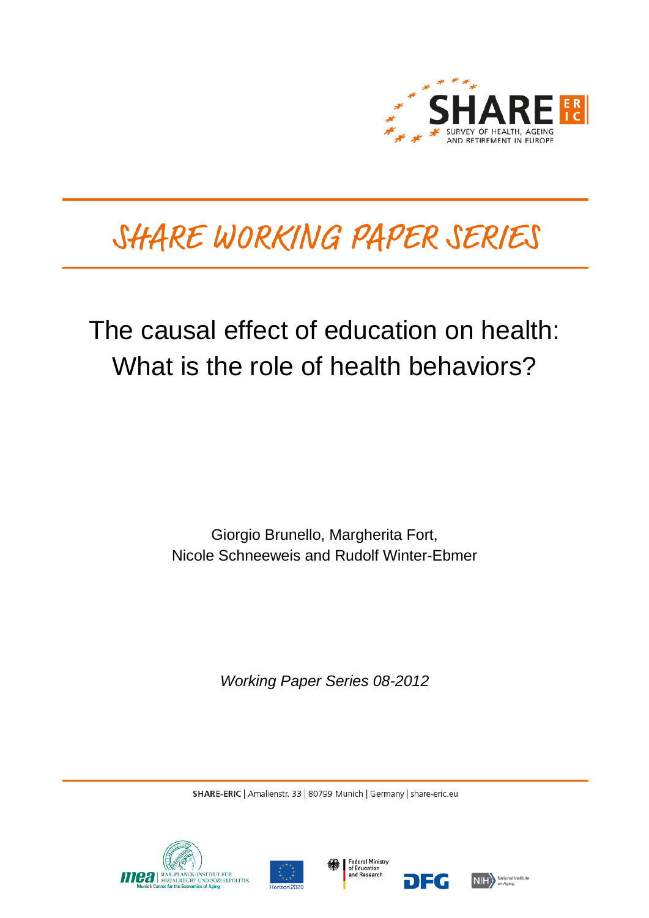

# SHARE WORKING PAPER SERIES

# The causal effect of education on health: What is the role of health behaviors?

Giorgio Brunello, Margherita Fort, Nicole Schneeweis and Rudolf Winter-Ebmer

*Working Paper Series 08-2012*

SHARE-ERIC | Amalienstr. 33 | 80799 Munich | Germany | share-eric.eu







7EG

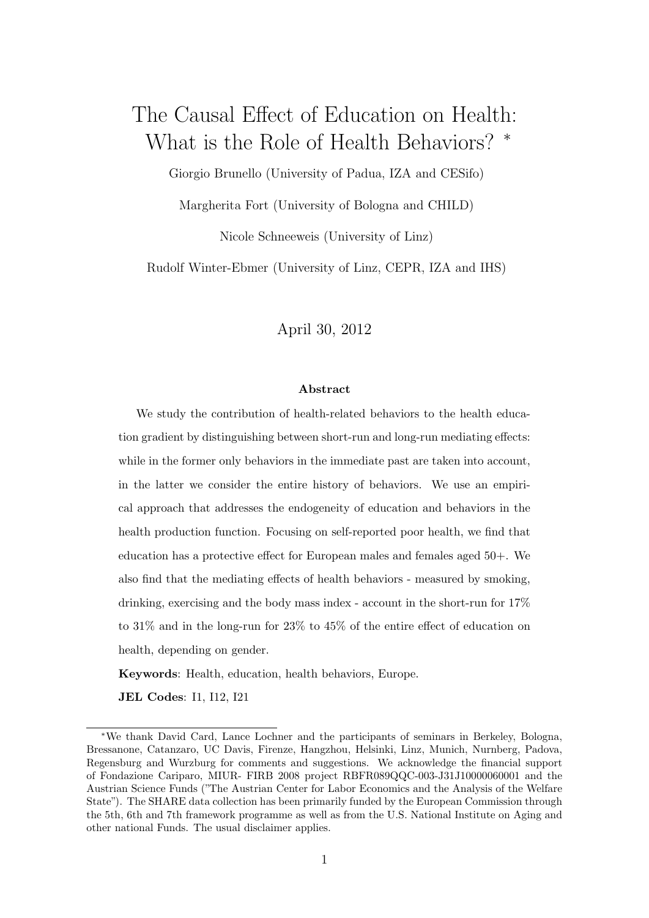# The Causal Effect of Education on Health: What is the Role of Health Behaviors? <sup>∗</sup>

Giorgio Brunello (University of Padua, IZA and CESifo)

Margherita Fort (University of Bologna and CHILD)

Nicole Schneeweis (University of Linz)

Rudolf Winter-Ebmer (University of Linz, CEPR, IZA and IHS)

April 30, 2012

#### Abstract

We study the contribution of health-related behaviors to the health education gradient by distinguishing between short-run and long-run mediating effects: while in the former only behaviors in the immediate past are taken into account, in the latter we consider the entire history of behaviors. We use an empirical approach that addresses the endogeneity of education and behaviors in the health production function. Focusing on self-reported poor health, we find that education has a protective effect for European males and females aged 50+. We also find that the mediating effects of health behaviors - measured by smoking, drinking, exercising and the body mass index - account in the short-run for 17% to 31% and in the long-run for 23% to 45% of the entire effect of education on health, depending on gender.

Keywords: Health, education, health behaviors, Europe.

JEL Codes: I1, I12, I21

<sup>∗</sup>We thank David Card, Lance Lochner and the participants of seminars in Berkeley, Bologna, Bressanone, Catanzaro, UC Davis, Firenze, Hangzhou, Helsinki, Linz, Munich, Nurnberg, Padova, Regensburg and Wurzburg for comments and suggestions. We acknowledge the financial support of Fondazione Cariparo, MIUR- FIRB 2008 project RBFR089QQC-003-J31J10000060001 and the Austrian Science Funds ("The Austrian Center for Labor Economics and the Analysis of the Welfare State"). The SHARE data collection has been primarily funded by the European Commission through the 5th, 6th and 7th framework programme as well as from the U.S. National Institute on Aging and other national Funds. The usual disclaimer applies.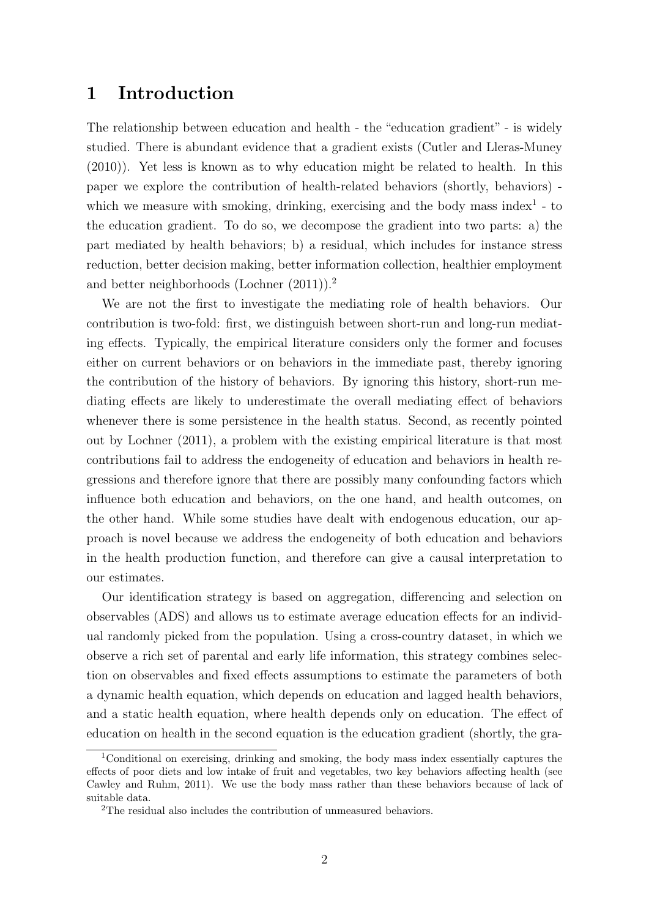## 1 Introduction

The relationship between education and health - the "education gradient" - is widely studied. There is abundant evidence that a gradient exists (Cutler and Lleras-Muney (2010)). Yet less is known as to why education might be related to health. In this paper we explore the contribution of health-related behaviors (shortly, behaviors) which we measure with smoking, drinking, exercising and the body mass index<sup>1</sup> - to the education gradient. To do so, we decompose the gradient into two parts: a) the part mediated by health behaviors; b) a residual, which includes for instance stress reduction, better decision making, better information collection, healthier employment and better neighborhoods (Lochner (2011)).<sup>2</sup>

We are not the first to investigate the mediating role of health behaviors. Our contribution is two-fold: first, we distinguish between short-run and long-run mediating effects. Typically, the empirical literature considers only the former and focuses either on current behaviors or on behaviors in the immediate past, thereby ignoring the contribution of the history of behaviors. By ignoring this history, short-run mediating effects are likely to underestimate the overall mediating effect of behaviors whenever there is some persistence in the health status. Second, as recently pointed out by Lochner (2011), a problem with the existing empirical literature is that most contributions fail to address the endogeneity of education and behaviors in health regressions and therefore ignore that there are possibly many confounding factors which influence both education and behaviors, on the one hand, and health outcomes, on the other hand. While some studies have dealt with endogenous education, our approach is novel because we address the endogeneity of both education and behaviors in the health production function, and therefore can give a causal interpretation to our estimates.

Our identification strategy is based on aggregation, differencing and selection on observables (ADS) and allows us to estimate average education effects for an individual randomly picked from the population. Using a cross-country dataset, in which we observe a rich set of parental and early life information, this strategy combines selection on observables and fixed effects assumptions to estimate the parameters of both a dynamic health equation, which depends on education and lagged health behaviors, and a static health equation, where health depends only on education. The effect of education on health in the second equation is the education gradient (shortly, the gra-

<sup>&</sup>lt;sup>1</sup>Conditional on exercising, drinking and smoking, the body mass index essentially captures the effects of poor diets and low intake of fruit and vegetables, two key behaviors affecting health (see Cawley and Ruhm, 2011). We use the body mass rather than these behaviors because of lack of suitable data.

<sup>2</sup>The residual also includes the contribution of unmeasured behaviors.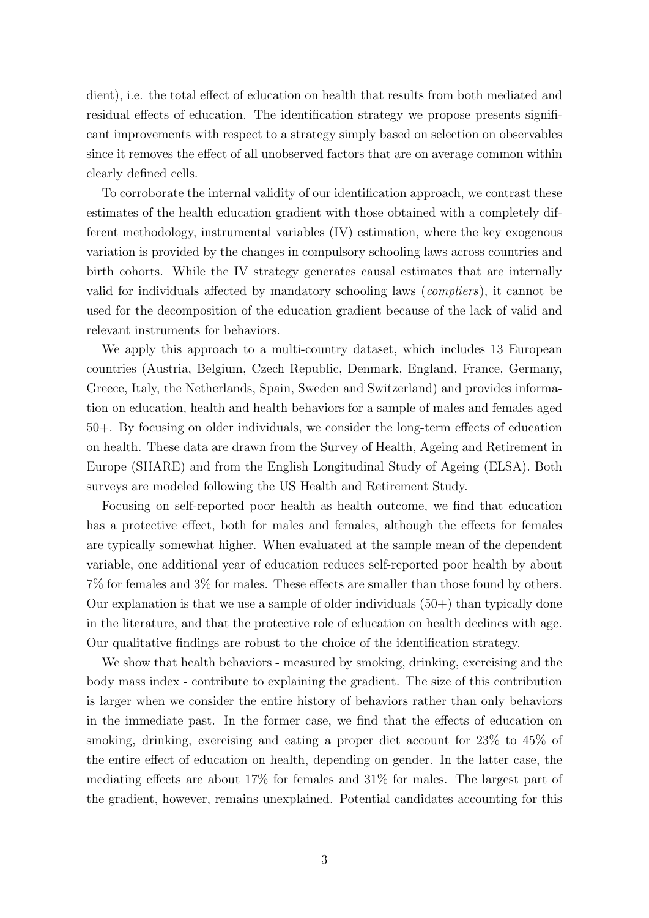dient), i.e. the total effect of education on health that results from both mediated and residual effects of education. The identification strategy we propose presents significant improvements with respect to a strategy simply based on selection on observables since it removes the effect of all unobserved factors that are on average common within clearly defined cells.

To corroborate the internal validity of our identification approach, we contrast these estimates of the health education gradient with those obtained with a completely different methodology, instrumental variables (IV) estimation, where the key exogenous variation is provided by the changes in compulsory schooling laws across countries and birth cohorts. While the IV strategy generates causal estimates that are internally valid for individuals affected by mandatory schooling laws (compliers), it cannot be used for the decomposition of the education gradient because of the lack of valid and relevant instruments for behaviors.

We apply this approach to a multi-country dataset, which includes 13 European countries (Austria, Belgium, Czech Republic, Denmark, England, France, Germany, Greece, Italy, the Netherlands, Spain, Sweden and Switzerland) and provides information on education, health and health behaviors for a sample of males and females aged 50+. By focusing on older individuals, we consider the long-term effects of education on health. These data are drawn from the Survey of Health, Ageing and Retirement in Europe (SHARE) and from the English Longitudinal Study of Ageing (ELSA). Both surveys are modeled following the US Health and Retirement Study.

Focusing on self-reported poor health as health outcome, we find that education has a protective effect, both for males and females, although the effects for females are typically somewhat higher. When evaluated at the sample mean of the dependent variable, one additional year of education reduces self-reported poor health by about 7% for females and 3% for males. These effects are smaller than those found by others. Our explanation is that we use a sample of older individuals  $(50+)$  than typically done in the literature, and that the protective role of education on health declines with age. Our qualitative findings are robust to the choice of the identification strategy.

We show that health behaviors - measured by smoking, drinking, exercising and the body mass index - contribute to explaining the gradient. The size of this contribution is larger when we consider the entire history of behaviors rather than only behaviors in the immediate past. In the former case, we find that the effects of education on smoking, drinking, exercising and eating a proper diet account for 23% to 45% of the entire effect of education on health, depending on gender. In the latter case, the mediating effects are about 17% for females and 31% for males. The largest part of the gradient, however, remains unexplained. Potential candidates accounting for this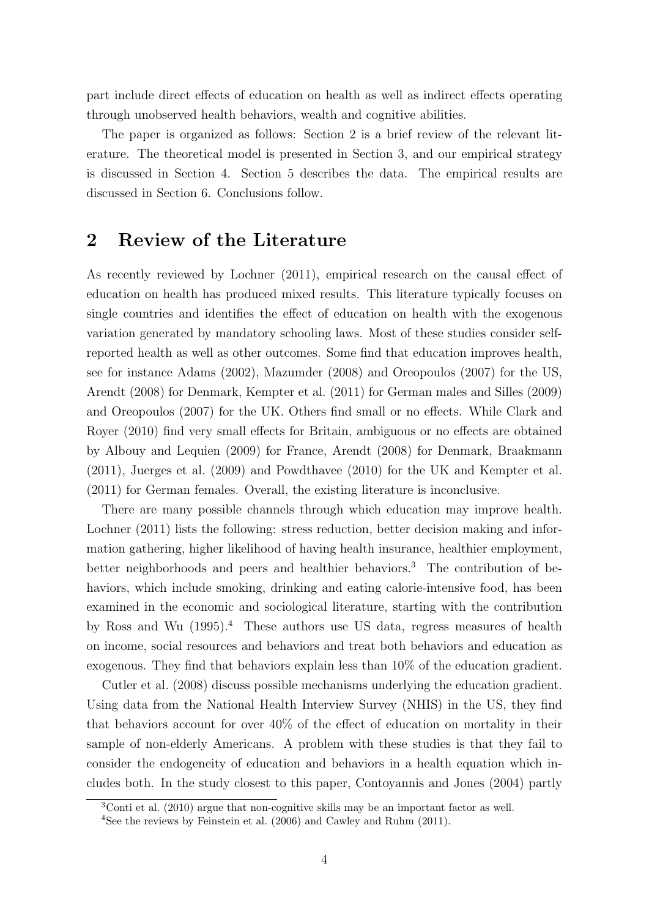part include direct effects of education on health as well as indirect effects operating through unobserved health behaviors, wealth and cognitive abilities.

The paper is organized as follows: Section 2 is a brief review of the relevant literature. The theoretical model is presented in Section 3, and our empirical strategy is discussed in Section 4. Section 5 describes the data. The empirical results are discussed in Section 6. Conclusions follow.

## 2 Review of the Literature

As recently reviewed by Lochner (2011), empirical research on the causal effect of education on health has produced mixed results. This literature typically focuses on single countries and identifies the effect of education on health with the exogenous variation generated by mandatory schooling laws. Most of these studies consider selfreported health as well as other outcomes. Some find that education improves health, see for instance Adams (2002), Mazumder (2008) and Oreopoulos (2007) for the US, Arendt (2008) for Denmark, Kempter et al. (2011) for German males and Silles (2009) and Oreopoulos (2007) for the UK. Others find small or no effects. While Clark and Royer (2010) find very small effects for Britain, ambiguous or no effects are obtained by Albouy and Lequien (2009) for France, Arendt (2008) for Denmark, Braakmann (2011), Juerges et al. (2009) and Powdthavee (2010) for the UK and Kempter et al. (2011) for German females. Overall, the existing literature is inconclusive.

There are many possible channels through which education may improve health. Lochner (2011) lists the following: stress reduction, better decision making and information gathering, higher likelihood of having health insurance, healthier employment, better neighborhoods and peers and healthier behaviors.<sup>3</sup> The contribution of behaviors, which include smoking, drinking and eating calorie-intensive food, has been examined in the economic and sociological literature, starting with the contribution by Ross and Wu (1995).<sup>4</sup> These authors use US data, regress measures of health on income, social resources and behaviors and treat both behaviors and education as exogenous. They find that behaviors explain less than 10% of the education gradient.

Cutler et al. (2008) discuss possible mechanisms underlying the education gradient. Using data from the National Health Interview Survey (NHIS) in the US, they find that behaviors account for over 40% of the effect of education on mortality in their sample of non-elderly Americans. A problem with these studies is that they fail to consider the endogeneity of education and behaviors in a health equation which includes both. In the study closest to this paper, Contoyannis and Jones (2004) partly

<sup>3</sup>Conti et al. (2010) argue that non-cognitive skills may be an important factor as well.

<sup>&</sup>lt;sup>4</sup>See the reviews by Feinstein et al. (2006) and Cawley and Ruhm (2011).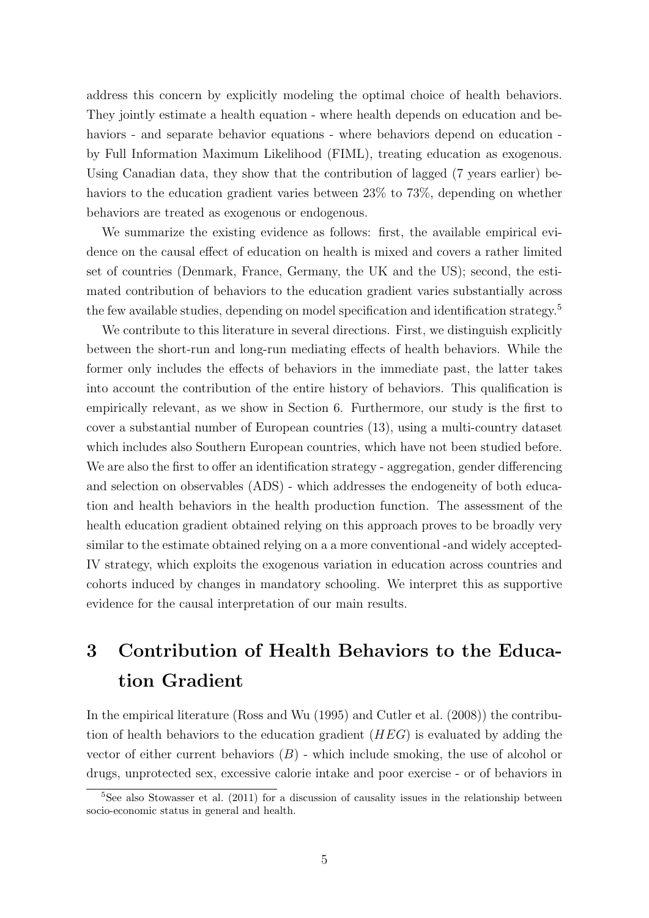address this concern by explicitly modeling the optimal choice of health behaviors. They jointly estimate a health equation - where health depends on education and behaviors - and separate behavior equations - where behaviors depend on education by Full Information Maximum Likelihood (FIML), treating education as exogenous. Using Canadian data, they show that the contribution of lagged (7 years earlier) behaviors to the education gradient varies between 23% to 73%, depending on whether behaviors are treated as exogenous or endogenous.

We summarize the existing evidence as follows: first, the available empirical evidence on the causal effect of education on health is mixed and covers a rather limited set of countries (Denmark, France, Germany, the UK and the US); second, the estimated contribution of behaviors to the education gradient varies substantially across the few available studies, depending on model specification and identification strategy.<sup>5</sup>

We contribute to this literature in several directions. First, we distinguish explicitly between the short-run and long-run mediating effects of health behaviors. While the former only includes the effects of behaviors in the immediate past, the latter takes into account the contribution of the entire history of behaviors. This qualification is empirically relevant, as we show in Section 6. Furthermore, our study is the first to cover a substantial number of European countries (13), using a multi-country dataset which includes also Southern European countries, which have not been studied before. We are also the first to offer an identification strategy - aggregation, gender differencing and selection on observables (ADS) - which addresses the endogeneity of both education and health behaviors in the health production function. The assessment of the health education gradient obtained relying on this approach proves to be broadly very similar to the estimate obtained relying on a a more conventional -and widely accepted-IV strategy, which exploits the exogenous variation in education across countries and cohorts induced by changes in mandatory schooling. We interpret this as supportive evidence for the causal interpretation of our main results.

# 3 Contribution of Health Behaviors to the Education Gradient

In the empirical literature (Ross and Wu (1995) and Cutler et al. (2008)) the contribution of health behaviors to the education gradient  $(HEG)$  is evaluated by adding the vector of either current behaviors  $(B)$  - which include smoking, the use of alcohol or drugs, unprotected sex, excessive calorie intake and poor exercise - or of behaviors in

<sup>&</sup>lt;sup>5</sup>See also Stowasser et al. (2011) for a discussion of causality issues in the relationship between socio-economic status in general and health.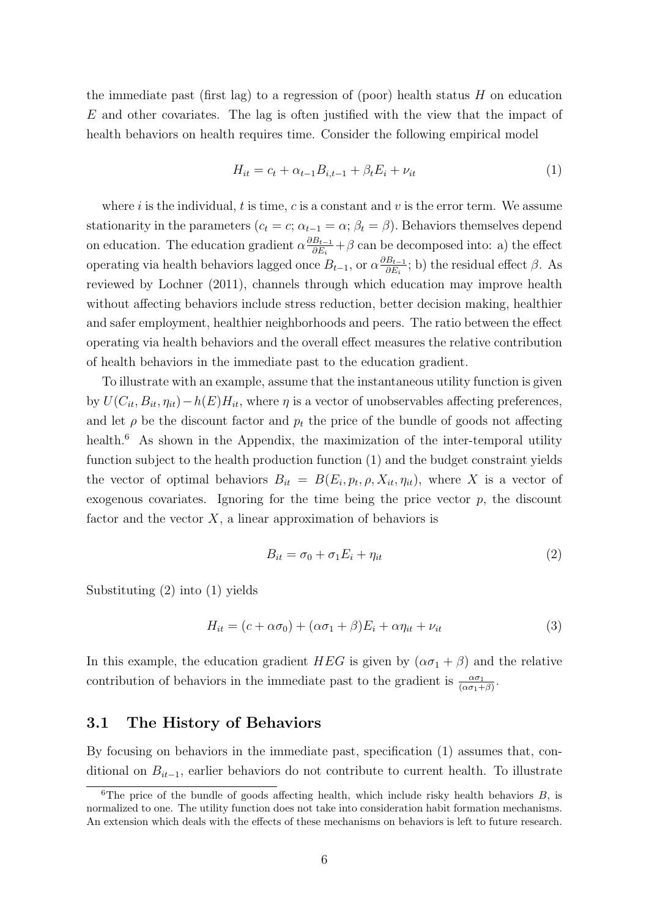the immediate past (first lag) to a regression of (poor) health status  $H$  on education E and other covariates. The lag is often justified with the view that the impact of health behaviors on health requires time. Consider the following empirical model

$$
H_{it} = c_t + \alpha_{t-1} B_{i,t-1} + \beta_t E_i + \nu_{it}
$$
\n(1)

where i is the individual, t is time, c is a constant and v is the error term. We assume stationarity in the parameters  $(c_t = c; \alpha_{t-1} = \alpha; \beta_t = \beta)$ . Behaviors themselves depend on education. The education gradient  $\alpha \frac{\partial B_{t-1}}{\partial F}$  $\frac{B_{t-1}}{\partial E_i} + \beta$  can be decomposed into: a) the effect operating via health behaviors lagged once  $B_{t-1}$ , or  $\alpha \frac{\partial B_{t-1}}{\partial E_t}$  $\frac{B_{t-1}}{\partial E_i}$ ; b) the residual effect  $\beta$ . As reviewed by Lochner (2011), channels through which education may improve health without affecting behaviors include stress reduction, better decision making, healthier and safer employment, healthier neighborhoods and peers. The ratio between the effect operating via health behaviors and the overall effect measures the relative contribution of health behaviors in the immediate past to the education gradient.

To illustrate with an example, assume that the instantaneous utility function is given by  $U(C_{it}, B_{it}, \eta_{it}) - h(E)H_{it}$ , where  $\eta$  is a vector of unobservables affecting preferences, and let  $\rho$  be the discount factor and  $p_t$  the price of the bundle of goods not affecting health.<sup>6</sup> As shown in the Appendix, the maximization of the inter-temporal utility function subject to the health production function (1) and the budget constraint yields the vector of optimal behaviors  $B_{it} = B(E_i, p_t, \rho, X_{it}, \eta_{it})$ , where X is a vector of exogenous covariates. Ignoring for the time being the price vector  $p$ , the discount factor and the vector  $X$ , a linear approximation of behaviors is

$$
B_{it} = \sigma_0 + \sigma_1 E_i + \eta_{it} \tag{2}
$$

Substituting (2) into (1) yields

$$
H_{it} = (c + \alpha \sigma_0) + (\alpha \sigma_1 + \beta)E_i + \alpha \eta_{it} + \nu_{it}
$$
\n(3)

In this example, the education gradient HEG is given by  $(\alpha \sigma_1 + \beta)$  and the relative contribution of behaviors in the immediate past to the gradient is  $\frac{\alpha \sigma_1}{(\alpha \sigma_1 + \beta)}$ .

#### 3.1 The History of Behaviors

By focusing on behaviors in the immediate past, specification (1) assumes that, conditional on  $B_{it-1}$ , earlier behaviors do not contribute to current health. To illustrate

<sup>&</sup>lt;sup>6</sup>The price of the bundle of goods affecting health, which include risky health behaviors  $B$ , is normalized to one. The utility function does not take into consideration habit formation mechanisms. An extension which deals with the effects of these mechanisms on behaviors is left to future research.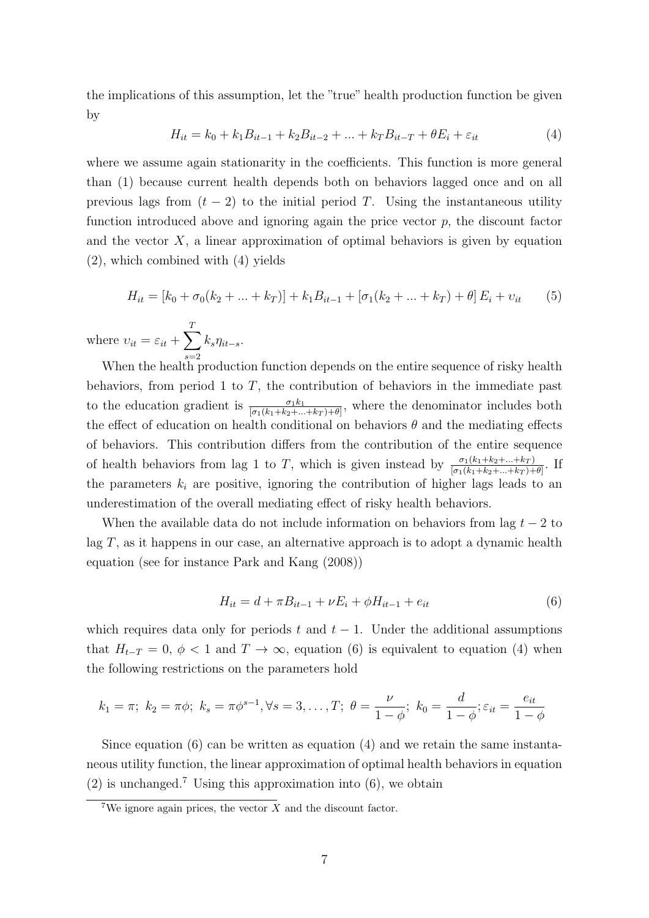the implications of this assumption, let the "true" health production function be given by

$$
H_{it} = k_0 + k_1 B_{it-1} + k_2 B_{it-2} + \dots + k_T B_{it-T} + \theta E_i + \varepsilon_{it}
$$
\n(4)

where we assume again stationarity in the coefficients. This function is more general than (1) because current health depends both on behaviors lagged once and on all previous lags from  $(t - 2)$  to the initial period T. Using the instantaneous utility function introduced above and ignoring again the price vector  $p$ , the discount factor and the vector  $X$ , a linear approximation of optimal behaviors is given by equation (2), which combined with (4) yields

$$
H_{it} = [k_0 + \sigma_0(k_2 + \dots + k_T)] + k_1 B_{it-1} + [\sigma_1(k_2 + \dots + k_T) + \theta] E_i + \nu_{it} \tag{5}
$$

where  $v_{it} = \varepsilon_{it} + \sum$ T  $s=2$  $k_s\eta_{it-s}$ .

When the health production function depends on the entire sequence of risky health behaviors, from period 1 to  $T$ , the contribution of behaviors in the immediate past to the education gradient is  $\frac{\sigma_1 k_1}{[\sigma_1(k_1+k_2+...+k_T)+\theta]}$ , where the denominator includes both the effect of education on health conditional on behaviors  $\theta$  and the mediating effects of behaviors. This contribution differs from the contribution of the entire sequence of health behaviors from lag 1 to T, which is given instead by  $\frac{\sigma_1(k_1+k_2+\ldots+k_T)}{[\sigma_1(k_1+k_2+\ldots+k_T)+\theta]}$ . If the parameters  $k_i$  are positive, ignoring the contribution of higher lags leads to an underestimation of the overall mediating effect of risky health behaviors.

When the available data do not include information on behaviors from lag  $t - 2$  to  $\log T$ , as it happens in our case, an alternative approach is to adopt a dynamic health equation (see for instance Park and Kang (2008))

$$
H_{it} = d + \pi B_{it-1} + \nu E_i + \phi H_{it-1} + e_{it}
$$
\n(6)

which requires data only for periods t and  $t - 1$ . Under the additional assumptions that  $H_{t-T} = 0, \phi < 1$  and  $T \to \infty$ , equation (6) is equivalent to equation (4) when the following restrictions on the parameters hold

$$
k_1 = \pi
$$
;  $k_2 = \pi \phi$ ;  $k_s = \pi \phi^{s-1}$ ,  $\forall s = 3, ..., T$ ;  $\theta = \frac{\nu}{1 - \phi}$ ;  $k_0 = \frac{d}{1 - \phi}$ ;  $\varepsilon_{it} = \frac{e_{it}}{1 - \phi}$ 

Since equation  $(6)$  can be written as equation  $(4)$  and we retain the same instantaneous utility function, the linear approximation of optimal health behaviors in equation  $(2)$  is unchanged.<sup>7</sup> Using this approximation into  $(6)$ , we obtain

<sup>&</sup>lt;sup>7</sup>We ignore again prices, the vector  $\overline{X}$  and the discount factor.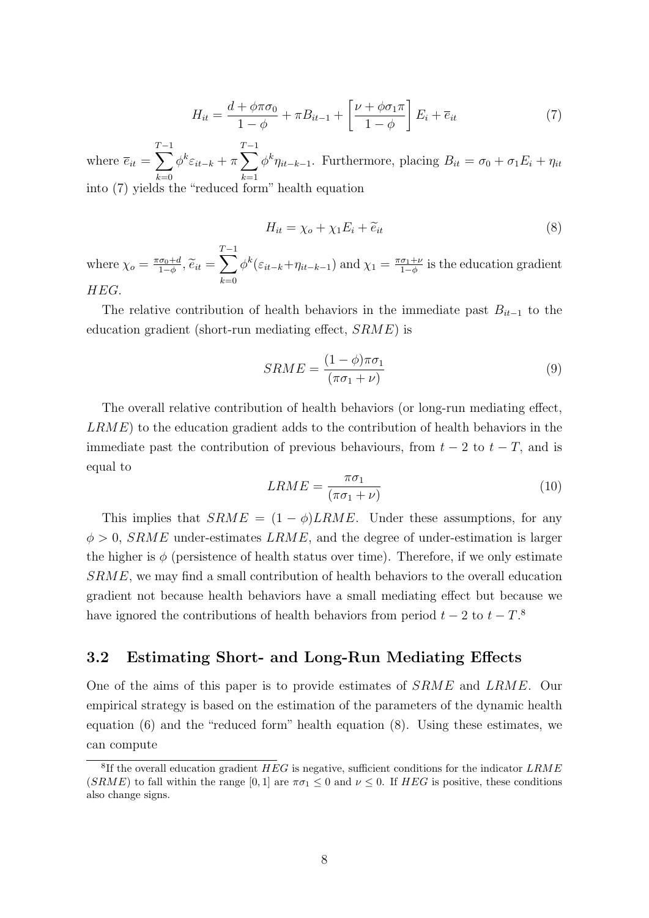$$
H_{it} = \frac{d + \phi \pi \sigma_0}{1 - \phi} + \pi B_{it-1} + \left[\frac{\nu + \phi \sigma_1 \pi}{1 - \phi}\right] E_i + \overline{e}_{it}
$$
(7)

where  $\overline{e}_{it} = \sum$  $T-1$  $k=0$  $\phi^k \varepsilon_{it-k} + \pi \sum$  $T-1$  $k=1$  $\phi^k \eta_{it-k-1}$ . Furthermore, placing  $B_{it} = \sigma_0 + \sigma_1 E_i + \eta_{it}$ into (7) yields the "reduced form" health equation

$$
H_{it} = \chi_o + \chi_1 E_i + \tilde{e}_{it}
$$
\n<sup>(8)</sup>

where  $\chi_o = \frac{\pi \sigma_0 + d}{1 - \phi}$  $\frac{\partial \sigma_0 + d}{\partial \phi_0 + d}$ ,  $\widetilde{e}_{it} = \sum_{k=0}$  $T-1$  $k=0$  $\phi^k(\varepsilon_{it-k}+\eta_{it-k-1})$  and  $\chi_1=\frac{\pi\sigma_1+\nu}{1-\phi}$  $\frac{\sigma_1+\nu}{1-\phi}$  is the education gradient HEG.

The relative contribution of health behaviors in the immediate past  $B_{it-1}$  to the education gradient (short-run mediating effect, SRME) is

$$
SRME = \frac{(1 - \phi)\pi\sigma_1}{(\pi\sigma_1 + \nu)}\tag{9}
$$

The overall relative contribution of health behaviors (or long-run mediating effect, LRME) to the education gradient adds to the contribution of health behaviors in the immediate past the contribution of previous behaviours, from  $t - 2$  to  $t - T$ , and is equal to

$$
LRME = \frac{\pi \sigma_1}{(\pi \sigma_1 + \nu)}\tag{10}
$$

This implies that  $SRME = (1 - \phi)LRME$ . Under these assumptions, for any  $\phi > 0$ , SRME under-estimates LRME, and the degree of under-estimation is larger the higher is  $\phi$  (persistence of health status over time). Therefore, if we only estimate SRME, we may find a small contribution of health behaviors to the overall education gradient not because health behaviors have a small mediating effect but because we have ignored the contributions of health behaviors from period  $t - 2$  to  $t - T$ .<sup>8</sup>

#### 3.2 Estimating Short- and Long-Run Mediating Effects

One of the aims of this paper is to provide estimates of SRME and LRME. Our empirical strategy is based on the estimation of the parameters of the dynamic health equation (6) and the "reduced form" health equation (8). Using these estimates, we can compute

<sup>&</sup>lt;sup>8</sup>If the overall education gradient  $HEG$  is negative, sufficient conditions for the indicator  $LRME$ (SRME) to fall within the range [0, 1] are  $\pi\sigma_1 \leq 0$  and  $\nu \leq 0$ . If HEG is positive, these conditions also change signs.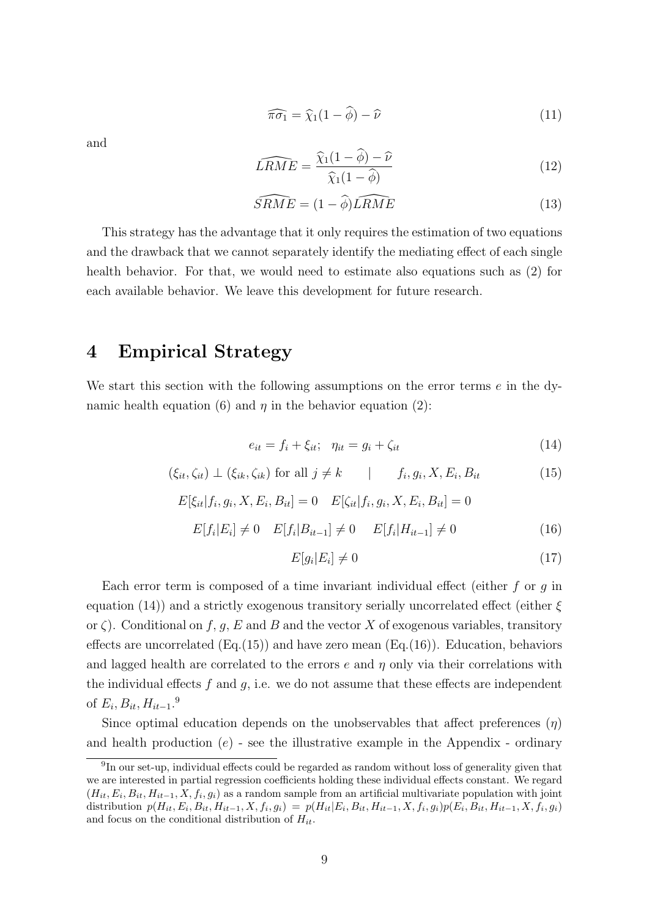$$
\widehat{\pi}\widehat{\sigma_1} = \widehat{\chi}_1(1 - \widehat{\phi}) - \widehat{\nu}
$$
\n(11)

and

$$
\widehat{LRME} = \frac{\widehat{\chi}_1(1-\widehat{\phi})-\widehat{\nu}}{\widehat{\chi}_1(1-\widehat{\phi})}
$$
(12)

$$
\widehat{SRME} = (1 - \widehat{\phi}) \widehat{LRME} \tag{13}
$$

This strategy has the advantage that it only requires the estimation of two equations and the drawback that we cannot separately identify the mediating effect of each single health behavior. For that, we would need to estimate also equations such as  $(2)$  for each available behavior. We leave this development for future research.

## 4 Empirical Strategy

We start this section with the following assumptions on the error terms  $e$  in the dynamic health equation (6) and  $\eta$  in the behavior equation (2):

$$
e_{it} = f_i + \xi_{it}; \quad \eta_{it} = g_i + \zeta_{it} \tag{14}
$$

$$
(\xi_{it}, \zeta_{it}) \perp (\xi_{ik}, \zeta_{ik}) \text{ for all } j \neq k \qquad | \qquad f_i, g_i, X, E_i, B_{it} \tag{15}
$$

$$
E[\xi_{it}|f_i, g_i, X, E_i, B_{it}] = 0 \quad E[\zeta_{it}|f_i, g_i, X, E_i, B_{it}] = 0
$$

$$
E[f_i|E_i] \neq 0 \quad E[f_i|B_{it-1}] \neq 0 \quad E[f_i|H_{it-1}] \neq 0 \tag{16}
$$

$$
E[g_i|E_i] \neq 0 \tag{17}
$$

Each error term is composed of a time invariant individual effect (either  $f$  or  $g$  in equation (14)) and a strictly exogenous transitory serially uncorrelated effect (either  $\xi$ or  $\zeta$ ). Conditional on f, g, E and B and the vector X of exogenous variables, transitory effects are uncorrelated  $(Eq.(15))$  and have zero mean  $(Eq.(16))$ . Education, behaviors and lagged health are correlated to the errors  $e$  and  $\eta$  only via their correlations with the individual effects  $f$  and  $g$ , i.e. we do not assume that these effects are independent of  $E_i, B_{it}, H_{it-1}.^9$ 

Since optimal education depends on the unobservables that affect preferences  $(\eta)$ and health production  $(e)$  - see the illustrative example in the Appendix - ordinary

<sup>&</sup>lt;sup>9</sup>In our set-up, individual effects could be regarded as random without loss of generality given that we are interested in partial regression coefficients holding these individual effects constant. We regard  $(H_{it}, E_i, B_{it}, H_{it-1}, X, f_i, g_i)$  as a random sample from an artificial multivariate population with joint distribution  $p(H_{it}, E_i, B_{it}, H_{it-1}, X, f_i, g_i) = p(H_{it}|E_i, B_{it}, H_{it-1}, X, f_i, g_i)p(E_i, B_{it}, H_{it-1}, X, f_i, g_i)$ and focus on the conditional distribution of  $H_{it}$ .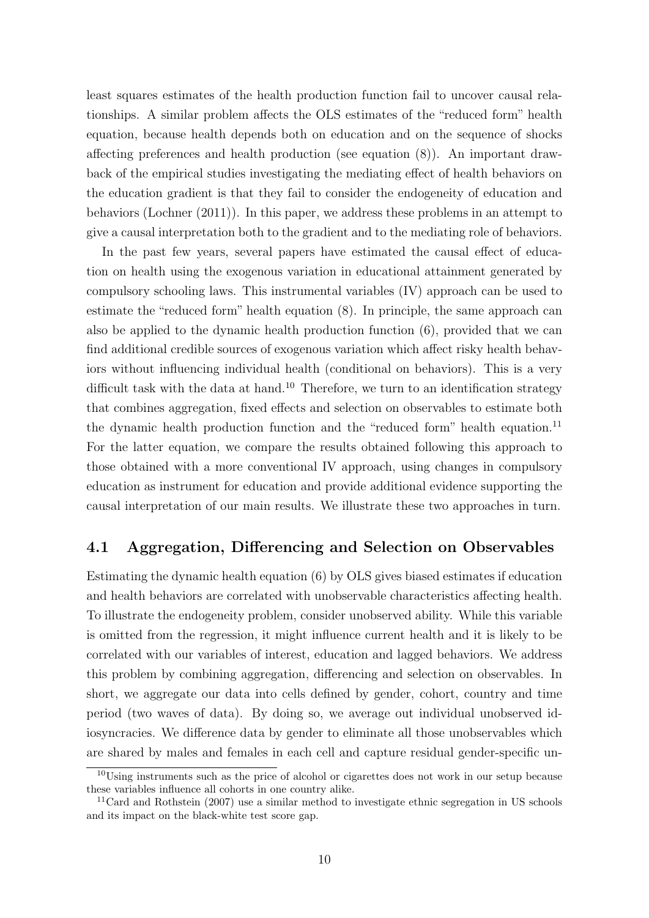least squares estimates of the health production function fail to uncover causal relationships. A similar problem affects the OLS estimates of the "reduced form" health equation, because health depends both on education and on the sequence of shocks affecting preferences and health production (see equation (8)). An important drawback of the empirical studies investigating the mediating effect of health behaviors on the education gradient is that they fail to consider the endogeneity of education and behaviors (Lochner (2011)). In this paper, we address these problems in an attempt to give a causal interpretation both to the gradient and to the mediating role of behaviors.

In the past few years, several papers have estimated the causal effect of education on health using the exogenous variation in educational attainment generated by compulsory schooling laws. This instrumental variables (IV) approach can be used to estimate the "reduced form" health equation (8). In principle, the same approach can also be applied to the dynamic health production function (6), provided that we can find additional credible sources of exogenous variation which affect risky health behaviors without influencing individual health (conditional on behaviors). This is a very difficult task with the data at hand.<sup>10</sup> Therefore, we turn to an identification strategy that combines aggregation, fixed effects and selection on observables to estimate both the dynamic health production function and the "reduced form" health equation.<sup>11</sup> For the latter equation, we compare the results obtained following this approach to those obtained with a more conventional IV approach, using changes in compulsory education as instrument for education and provide additional evidence supporting the causal interpretation of our main results. We illustrate these two approaches in turn.

#### 4.1 Aggregation, Differencing and Selection on Observables

Estimating the dynamic health equation (6) by OLS gives biased estimates if education and health behaviors are correlated with unobservable characteristics affecting health. To illustrate the endogeneity problem, consider unobserved ability. While this variable is omitted from the regression, it might influence current health and it is likely to be correlated with our variables of interest, education and lagged behaviors. We address this problem by combining aggregation, differencing and selection on observables. In short, we aggregate our data into cells defined by gender, cohort, country and time period (two waves of data). By doing so, we average out individual unobserved idiosyncracies. We difference data by gender to eliminate all those unobservables which are shared by males and females in each cell and capture residual gender-specific un-

 $10$ Using instruments such as the price of alcohol or cigarettes does not work in our setup because these variables influence all cohorts in one country alike.

 $11$ Card and Rothstein (2007) use a similar method to investigate ethnic segregation in US schools and its impact on the black-white test score gap.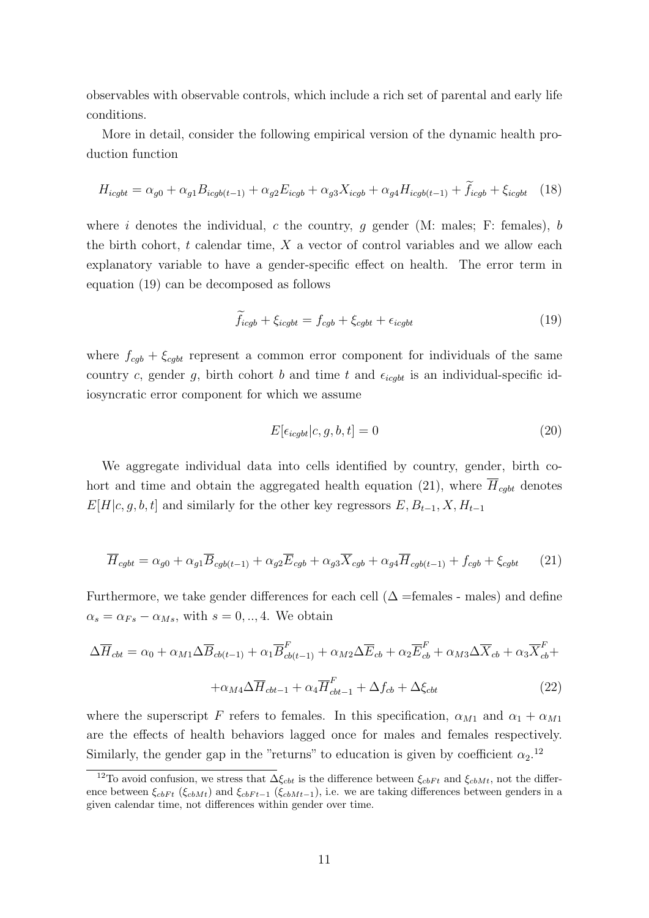observables with observable controls, which include a rich set of parental and early life conditions.

More in detail, consider the following empirical version of the dynamic health production function

$$
H_{icgbt} = \alpha_{g0} + \alpha_{g1} B_{icgb(t-1)} + \alpha_{g2} E_{icgb} + \alpha_{g3} X_{icgb} + \alpha_{g4} H_{icgb(t-1)} + \tilde{f}_{icgb} + \xi_{icgbt} \quad (18)
$$

where i denotes the individual, c the country, q gender (M: males; F: females), b the birth cohort,  $t$  calendar time,  $X$  a vector of control variables and we allow each explanatory variable to have a gender-specific effect on health. The error term in equation (19) can be decomposed as follows

$$
\hat{f}_{icgb} + \xi_{icgbt} = f_{cgb} + \xi_{cgbt} + \epsilon_{icgbt}
$$
\n(19)

where  $f_{cgb} + \xi_{cgbt}$  represent a common error component for individuals of the same country c, gender g, birth cohort b and time t and  $\epsilon_{icqbt}$  is an individual-specific idiosyncratic error component for which we assume

$$
E[\epsilon_{icgbt}|c, g, b, t] = 0 \tag{20}
$$

We aggregate individual data into cells identified by country, gender, birth cohort and time and obtain the aggregated health equation (21), where  $\overline{H}_{cgt}$  denotes  $E[H|c, g, b, t]$  and similarly for the other key regressors  $E, B_{t-1}, X, H_{t-1}$ 

$$
\overline{H}_{cgbt} = \alpha_{g0} + \alpha_{g1} \overline{B}_{cgb(t-1)} + \alpha_{g2} \overline{E}_{cgb} + \alpha_{g3} \overline{X}_{cgb} + \alpha_{g4} \overline{H}_{cgb(t-1)} + f_{cgb} + \xi_{cgbt}
$$
(21)

Furthermore, we take gender differences for each cell ( $\Delta$  =females - males) and define  $\alpha_s = \alpha_{Fs} - \alpha_{Ms}$ , with  $s = 0, \dots, 4$ . We obtain

$$
\Delta \overline{H}_{cbt} = \alpha_0 + \alpha_{M1} \Delta \overline{B}_{cb(t-1)} + \alpha_1 \overline{B}_{cb(t-1)}^F + \alpha_{M2} \Delta \overline{E}_{cb} + \alpha_2 \overline{E}_{cb}^F + \alpha_{M3} \Delta \overline{X}_{cb} + \alpha_3 \overline{X}_{cb}^F + \alpha_{M4} \Delta \overline{H}_{cbt-1} + \alpha_4 \overline{H}_{cbt-1}^F + \Delta f_{cb} + \Delta \xi_{cbt}
$$
\n(22)

where the superscript F refers to females. In this specification,  $\alpha_{M1}$  and  $\alpha_1 + \alpha_{M1}$ are the effects of health behaviors lagged once for males and females respectively. Similarly, the gender gap in the "returns" to education is given by coefficient  $\alpha_2$ <sup>12</sup>

<sup>&</sup>lt;sup>12</sup>To avoid confusion, we stress that  $\Delta \xi_{cbt}$  is the difference between  $\xi_{cbFt}$  and  $\xi_{cbMt}$ , not the difference between  $\xi_{cbFt}$  ( $\xi_{cbMt}$ ) and  $\xi_{cbFt-1}$  ( $\xi_{cbMt-1}$ ), i.e. we are taking differences between genders in a given calendar time, not differences within gender over time.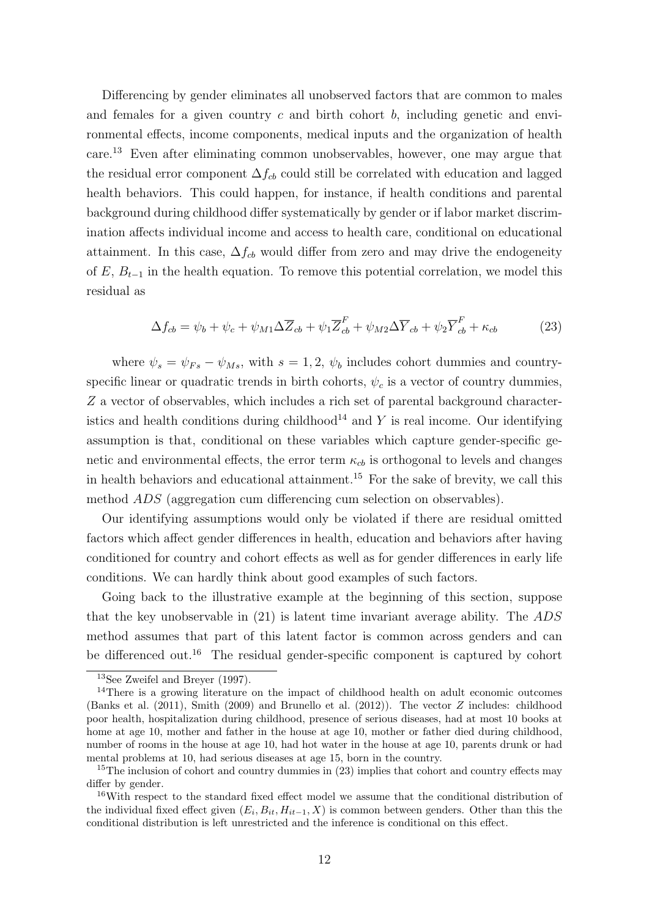Differencing by gender eliminates all unobserved factors that are common to males and females for a given country  $c$  and birth cohort  $b$ , including genetic and environmental effects, income components, medical inputs and the organization of health care.<sup>13</sup> Even after eliminating common unobservables, however, one may argue that the residual error component  $\Delta f_{cb}$  could still be correlated with education and lagged health behaviors. This could happen, for instance, if health conditions and parental background during childhood differ systematically by gender or if labor market discrimination affects individual income and access to health care, conditional on educational attainment. In this case,  $\Delta f_{cb}$  would differ from zero and may drive the endogeneity of E,  $B_{t-1}$  in the health equation. To remove this potential correlation, we model this residual as

$$
\Delta f_{cb} = \psi_b + \psi_c + \psi_{M1} \Delta \overline{Z}_{cb} + \psi_1 \overline{Z}_{cb}^F + \psi_{M2} \Delta \overline{Y}_{cb} + \psi_2 \overline{Y}_{cb}^F + \kappa_{cb}
$$
(23)

where  $\psi_s = \psi_{Fs} - \psi_{Ms}$ , with  $s = 1, 2, \psi_b$  includes cohort dummies and countryspecific linear or quadratic trends in birth cohorts,  $\psi_c$  is a vector of country dummies, Z a vector of observables, which includes a rich set of parental background characteristics and health conditions during childhood<sup>14</sup> and Y is real income. Our identifying assumption is that, conditional on these variables which capture gender-specific genetic and environmental effects, the error term  $\kappa_{cb}$  is orthogonal to levels and changes in health behaviors and educational attainment.<sup>15</sup> For the sake of brevity, we call this method ADS (aggregation cum differencing cum selection on observables).

Our identifying assumptions would only be violated if there are residual omitted factors which affect gender differences in health, education and behaviors after having conditioned for country and cohort effects as well as for gender differences in early life conditions. We can hardly think about good examples of such factors.

Going back to the illustrative example at the beginning of this section, suppose that the key unobservable in (21) is latent time invariant average ability. The ADS method assumes that part of this latent factor is common across genders and can be differenced out.<sup>16</sup> The residual gender-specific component is captured by cohort

<sup>13</sup>See Zweifel and Breyer (1997).

<sup>&</sup>lt;sup>14</sup>There is a growing literature on the impact of childhood health on adult economic outcomes (Banks et al. (2011), Smith (2009) and Brunello et al. (2012)). The vector Z includes: childhood poor health, hospitalization during childhood, presence of serious diseases, had at most 10 books at home at age 10, mother and father in the house at age 10, mother or father died during childhood, number of rooms in the house at age 10, had hot water in the house at age 10, parents drunk or had mental problems at 10, had serious diseases at age 15, born in the country.

<sup>&</sup>lt;sup>15</sup>The inclusion of cohort and country dummies in (23) implies that cohort and country effects may differ by gender.

<sup>16</sup>With respect to the standard fixed effect model we assume that the conditional distribution of the individual fixed effect given  $(E_i, B_{it}, H_{it-1}, X)$  is common between genders. Other than this the conditional distribution is left unrestricted and the inference is conditional on this effect.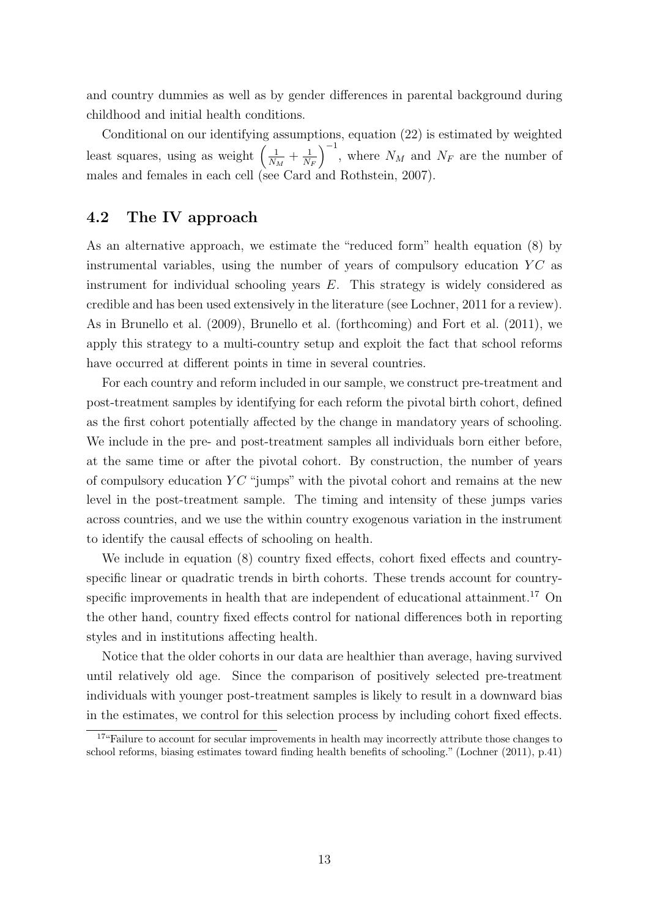and country dummies as well as by gender differences in parental background during childhood and initial health conditions.

Conditional on our identifying assumptions, equation (22) is estimated by weighted least squares, using as weight  $\left(\frac{1}{N}\right)$  $\frac{1}{N_M}+\frac{1}{N_M}$  $N_F$  $\Big)^{-1}$ , where  $N_M$  and  $N_F$  are the number of males and females in each cell (see Card and Rothstein, 2007).

#### 4.2 The IV approach

As an alternative approach, we estimate the "reduced form" health equation (8) by instrumental variables, using the number of years of compulsory education  $YC$  as instrument for individual schooling years  $E$ . This strategy is widely considered as credible and has been used extensively in the literature (see Lochner, 2011 for a review). As in Brunello et al. (2009), Brunello et al. (forthcoming) and Fort et al. (2011), we apply this strategy to a multi-country setup and exploit the fact that school reforms have occurred at different points in time in several countries.

For each country and reform included in our sample, we construct pre-treatment and post-treatment samples by identifying for each reform the pivotal birth cohort, defined as the first cohort potentially affected by the change in mandatory years of schooling. We include in the pre- and post-treatment samples all individuals born either before, at the same time or after the pivotal cohort. By construction, the number of years of compulsory education  $YC$  "jumps" with the pivotal cohort and remains at the new level in the post-treatment sample. The timing and intensity of these jumps varies across countries, and we use the within country exogenous variation in the instrument to identify the causal effects of schooling on health.

We include in equation (8) country fixed effects, cohort fixed effects and countryspecific linear or quadratic trends in birth cohorts. These trends account for countryspecific improvements in health that are independent of educational attainment.<sup>17</sup> On the other hand, country fixed effects control for national differences both in reporting styles and in institutions affecting health.

Notice that the older cohorts in our data are healthier than average, having survived until relatively old age. Since the comparison of positively selected pre-treatment individuals with younger post-treatment samples is likely to result in a downward bias in the estimates, we control for this selection process by including cohort fixed effects.

<sup>&</sup>lt;sup>17"</sup>Failure to account for secular improvements in health may incorrectly attribute those changes to school reforms, biasing estimates toward finding health benefits of schooling." (Lochner (2011), p.41)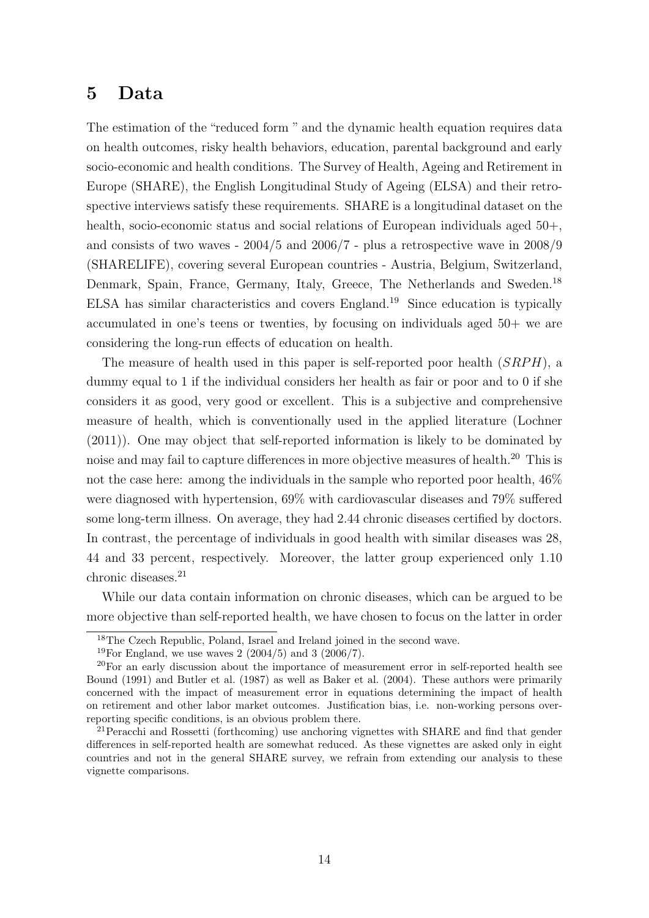## 5 Data

The estimation of the "reduced form " and the dynamic health equation requires data on health outcomes, risky health behaviors, education, parental background and early socio-economic and health conditions. The Survey of Health, Ageing and Retirement in Europe (SHARE), the English Longitudinal Study of Ageing (ELSA) and their retrospective interviews satisfy these requirements. SHARE is a longitudinal dataset on the health, socio-economic status and social relations of European individuals aged  $50+,$ and consists of two waves - 2004/5 and 2006/7 - plus a retrospective wave in 2008/9 (SHARELIFE), covering several European countries - Austria, Belgium, Switzerland, Denmark, Spain, France, Germany, Italy, Greece, The Netherlands and Sweden.<sup>18</sup> ELSA has similar characteristics and covers England.<sup>19</sup> Since education is typically accumulated in one's teens or twenties, by focusing on individuals aged 50+ we are considering the long-run effects of education on health.

The measure of health used in this paper is self-reported poor health  $(SRPH)$ , a dummy equal to 1 if the individual considers her health as fair or poor and to 0 if she considers it as good, very good or excellent. This is a subjective and comprehensive measure of health, which is conventionally used in the applied literature (Lochner (2011)). One may object that self-reported information is likely to be dominated by noise and may fail to capture differences in more objective measures of health.<sup>20</sup> This is not the case here: among the individuals in the sample who reported poor health, 46% were diagnosed with hypertension, 69% with cardiovascular diseases and 79% suffered some long-term illness. On average, they had 2.44 chronic diseases certified by doctors. In contrast, the percentage of individuals in good health with similar diseases was 28, 44 and 33 percent, respectively. Moreover, the latter group experienced only 1.10 chronic diseases.<sup>21</sup>

While our data contain information on chronic diseases, which can be argued to be more objective than self-reported health, we have chosen to focus on the latter in order

<sup>18</sup>The Czech Republic, Poland, Israel and Ireland joined in the second wave.

<sup>&</sup>lt;sup>19</sup>For England, we use waves 2  $(2004/5)$  and 3  $(2006/7)$ .

 $20$ For an early discussion about the importance of measurement error in self-reported health see Bound (1991) and Butler et al. (1987) as well as Baker et al. (2004). These authors were primarily concerned with the impact of measurement error in equations determining the impact of health on retirement and other labor market outcomes. Justification bias, i.e. non-working persons overreporting specific conditions, is an obvious problem there.

<sup>&</sup>lt;sup>21</sup> Peracchi and Rossetti (forthcoming) use anchoring vignettes with SHARE and find that gender differences in self-reported health are somewhat reduced. As these vignettes are asked only in eight countries and not in the general SHARE survey, we refrain from extending our analysis to these vignette comparisons.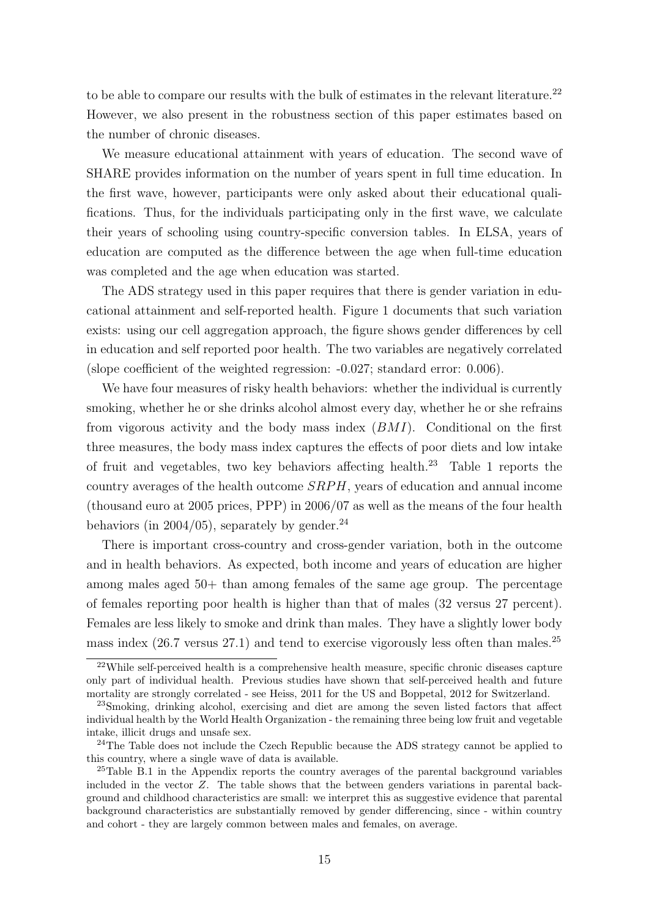to be able to compare our results with the bulk of estimates in the relevant literature.<sup>22</sup> However, we also present in the robustness section of this paper estimates based on the number of chronic diseases.

We measure educational attainment with years of education. The second wave of SHARE provides information on the number of years spent in full time education. In the first wave, however, participants were only asked about their educational qualifications. Thus, for the individuals participating only in the first wave, we calculate their years of schooling using country-specific conversion tables. In ELSA, years of education are computed as the difference between the age when full-time education was completed and the age when education was started.

The ADS strategy used in this paper requires that there is gender variation in educational attainment and self-reported health. Figure 1 documents that such variation exists: using our cell aggregation approach, the figure shows gender differences by cell in education and self reported poor health. The two variables are negatively correlated (slope coefficient of the weighted regression: -0.027; standard error: 0.006).

We have four measures of risky health behaviors: whether the individual is currently smoking, whether he or she drinks alcohol almost every day, whether he or she refrains from vigorous activity and the body mass index (BMI). Conditional on the first three measures, the body mass index captures the effects of poor diets and low intake of fruit and vegetables, two key behaviors affecting health.<sup>23</sup> Table 1 reports the country averages of the health outcome  $SRPH$ , years of education and annual income (thousand euro at 2005 prices, PPP) in 2006/07 as well as the means of the four health behaviors (in  $2004/05$ ), separately by gender.<sup>24</sup>

There is important cross-country and cross-gender variation, both in the outcome and in health behaviors. As expected, both income and years of education are higher among males aged 50+ than among females of the same age group. The percentage of females reporting poor health is higher than that of males (32 versus 27 percent). Females are less likely to smoke and drink than males. They have a slightly lower body mass index  $(26.7 \text{ versus } 27.1)$  and tend to exercise vigorously less often than males.<sup>25</sup>

 $22$ While self-perceived health is a comprehensive health measure, specific chronic diseases capture only part of individual health. Previous studies have shown that self-perceived health and future mortality are strongly correlated - see Heiss, 2011 for the US and Boppetal, 2012 for Switzerland.

<sup>&</sup>lt;sup>23</sup>Smoking, drinking alcohol, exercising and diet are among the seven listed factors that affect individual health by the World Health Organization - the remaining three being low fruit and vegetable intake, illicit drugs and unsafe sex.

<sup>&</sup>lt;sup>24</sup>The Table does not include the Czech Republic because the ADS strategy cannot be applied to this country, where a single wave of data is available.

<sup>&</sup>lt;sup>25</sup>Table B.1 in the Appendix reports the country averages of the parental background variables included in the vector Z. The table shows that the between genders variations in parental background and childhood characteristics are small: we interpret this as suggestive evidence that parental background characteristics are substantially removed by gender differencing, since - within country and cohort - they are largely common between males and females, on average.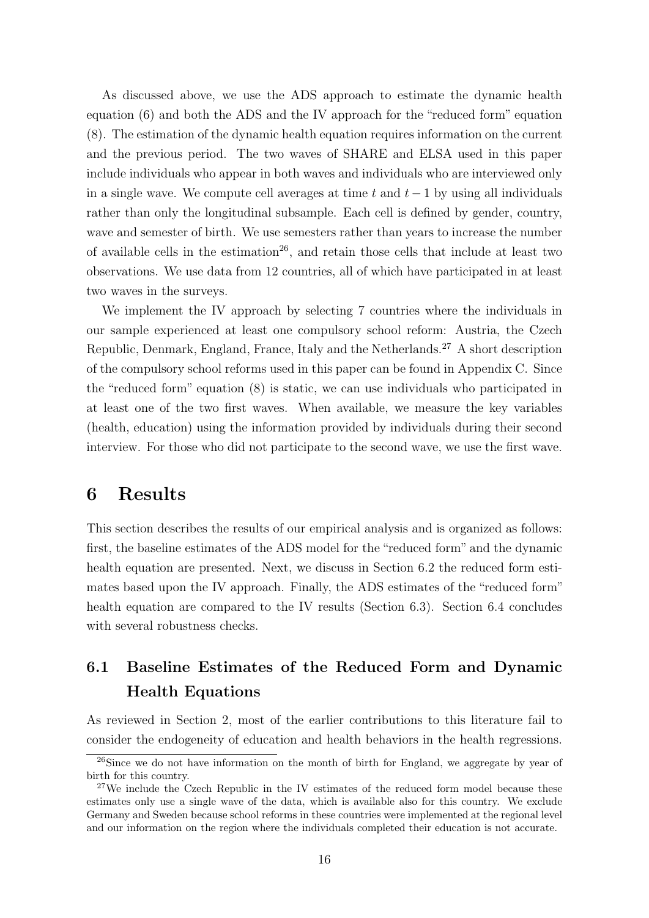As discussed above, we use the ADS approach to estimate the dynamic health equation (6) and both the ADS and the IV approach for the "reduced form" equation (8). The estimation of the dynamic health equation requires information on the current and the previous period. The two waves of SHARE and ELSA used in this paper include individuals who appear in both waves and individuals who are interviewed only in a single wave. We compute cell averages at time t and  $t-1$  by using all individuals rather than only the longitudinal subsample. Each cell is defined by gender, country, wave and semester of birth. We use semesters rather than years to increase the number of available cells in the estimation<sup>26</sup>, and retain those cells that include at least two observations. We use data from 12 countries, all of which have participated in at least two waves in the surveys.

We implement the IV approach by selecting 7 countries where the individuals in our sample experienced at least one compulsory school reform: Austria, the Czech Republic, Denmark, England, France, Italy and the Netherlands.<sup>27</sup> A short description of the compulsory school reforms used in this paper can be found in Appendix C. Since the "reduced form" equation (8) is static, we can use individuals who participated in at least one of the two first waves. When available, we measure the key variables (health, education) using the information provided by individuals during their second interview. For those who did not participate to the second wave, we use the first wave.

### 6 Results

This section describes the results of our empirical analysis and is organized as follows: first, the baseline estimates of the ADS model for the "reduced form" and the dynamic health equation are presented. Next, we discuss in Section 6.2 the reduced form estimates based upon the IV approach. Finally, the ADS estimates of the "reduced form" health equation are compared to the IV results (Section 6.3). Section 6.4 concludes with several robustness checks.

# 6.1 Baseline Estimates of the Reduced Form and Dynamic Health Equations

As reviewed in Section 2, most of the earlier contributions to this literature fail to consider the endogeneity of education and health behaviors in the health regressions.

<sup>&</sup>lt;sup>26</sup>Since we do not have information on the month of birth for England, we aggregate by year of birth for this country.

<sup>&</sup>lt;sup>27</sup>We include the Czech Republic in the IV estimates of the reduced form model because these estimates only use a single wave of the data, which is available also for this country. We exclude Germany and Sweden because school reforms in these countries were implemented at the regional level and our information on the region where the individuals completed their education is not accurate.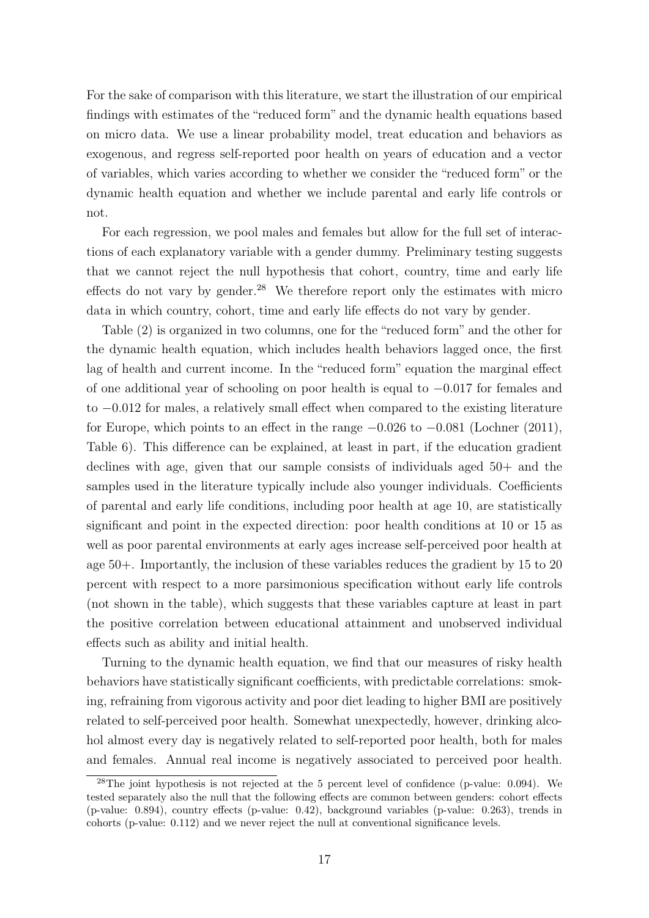For the sake of comparison with this literature, we start the illustration of our empirical findings with estimates of the "reduced form" and the dynamic health equations based on micro data. We use a linear probability model, treat education and behaviors as exogenous, and regress self-reported poor health on years of education and a vector of variables, which varies according to whether we consider the "reduced form" or the dynamic health equation and whether we include parental and early life controls or not.

For each regression, we pool males and females but allow for the full set of interactions of each explanatory variable with a gender dummy. Preliminary testing suggests that we cannot reject the null hypothesis that cohort, country, time and early life effects do not vary by gender.<sup>28</sup> We therefore report only the estimates with micro data in which country, cohort, time and early life effects do not vary by gender.

Table (2) is organized in two columns, one for the "reduced form" and the other for the dynamic health equation, which includes health behaviors lagged once, the first lag of health and current income. In the "reduced form" equation the marginal effect of one additional year of schooling on poor health is equal to −0.017 for females and to −0.012 for males, a relatively small effect when compared to the existing literature for Europe, which points to an effect in the range −0.026 to −0.081 (Lochner (2011), Table 6). This difference can be explained, at least in part, if the education gradient declines with age, given that our sample consists of individuals aged 50+ and the samples used in the literature typically include also younger individuals. Coefficients of parental and early life conditions, including poor health at age 10, are statistically significant and point in the expected direction: poor health conditions at 10 or 15 as well as poor parental environments at early ages increase self-perceived poor health at age 50+. Importantly, the inclusion of these variables reduces the gradient by 15 to 20 percent with respect to a more parsimonious specification without early life controls (not shown in the table), which suggests that these variables capture at least in part the positive correlation between educational attainment and unobserved individual effects such as ability and initial health.

Turning to the dynamic health equation, we find that our measures of risky health behaviors have statistically significant coefficients, with predictable correlations: smoking, refraining from vigorous activity and poor diet leading to higher BMI are positively related to self-perceived poor health. Somewhat unexpectedly, however, drinking alcohol almost every day is negatively related to self-reported poor health, both for males and females. Annual real income is negatively associated to perceived poor health.

<sup>&</sup>lt;sup>28</sup>The joint hypothesis is not rejected at the 5 percent level of confidence (p-value:  $0.094$ ). We tested separately also the null that the following effects are common between genders: cohort effects (p-value: 0.894), country effects (p-value: 0.42), background variables (p-value: 0.263), trends in cohorts (p-value: 0.112) and we never reject the null at conventional significance levels.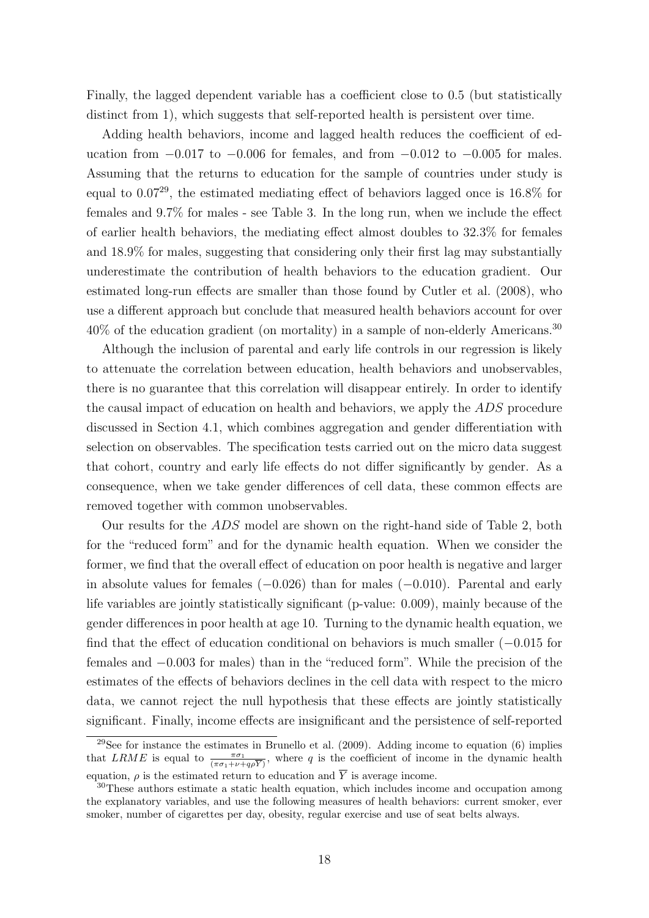Finally, the lagged dependent variable has a coefficient close to 0.5 (but statistically distinct from 1), which suggests that self-reported health is persistent over time.

Adding health behaviors, income and lagged health reduces the coefficient of education from  $-0.017$  to  $-0.006$  for females, and from  $-0.012$  to  $-0.005$  for males. Assuming that the returns to education for the sample of countries under study is equal to  $0.07^{29}$ , the estimated mediating effect of behaviors lagged once is 16.8% for females and 9.7% for males - see Table 3. In the long run, when we include the effect of earlier health behaviors, the mediating effect almost doubles to 32.3% for females and 18.9% for males, suggesting that considering only their first lag may substantially underestimate the contribution of health behaviors to the education gradient. Our estimated long-run effects are smaller than those found by Cutler et al. (2008), who use a different approach but conclude that measured health behaviors account for over 40% of the education gradient (on mortality) in a sample of non-elderly Americans.<sup>30</sup>

Although the inclusion of parental and early life controls in our regression is likely to attenuate the correlation between education, health behaviors and unobservables, there is no guarantee that this correlation will disappear entirely. In order to identify the causal impact of education on health and behaviors, we apply the ADS procedure discussed in Section 4.1, which combines aggregation and gender differentiation with selection on observables. The specification tests carried out on the micro data suggest that cohort, country and early life effects do not differ significantly by gender. As a consequence, when we take gender differences of cell data, these common effects are removed together with common unobservables.

Our results for the ADS model are shown on the right-hand side of Table 2, both for the "reduced form" and for the dynamic health equation. When we consider the former, we find that the overall effect of education on poor health is negative and larger in absolute values for females (−0.026) than for males (−0.010). Parental and early life variables are jointly statistically significant (p-value: 0.009), mainly because of the gender differences in poor health at age 10. Turning to the dynamic health equation, we find that the effect of education conditional on behaviors is much smaller  $(-0.015$  for females and −0.003 for males) than in the "reduced form". While the precision of the estimates of the effects of behaviors declines in the cell data with respect to the micro data, we cannot reject the null hypothesis that these effects are jointly statistically significant. Finally, income effects are insignificant and the persistence of self-reported

<sup>&</sup>lt;sup>29</sup>See for instance the estimates in Brunello et al.  $(2009)$ . Adding income to equation  $(6)$  implies that LRME is equal to  $\frac{\pi\sigma_1}{(\pi\sigma_1+\nu+q\rho\overline{Y})}$ , where q is the coefficient of income in the dynamic health equation,  $\rho$  is the estimated return to education and  $\overline{Y}$  is average income.

<sup>30</sup>These authors estimate a static health equation, which includes income and occupation among the explanatory variables, and use the following measures of health behaviors: current smoker, ever smoker, number of cigarettes per day, obesity, regular exercise and use of seat belts always.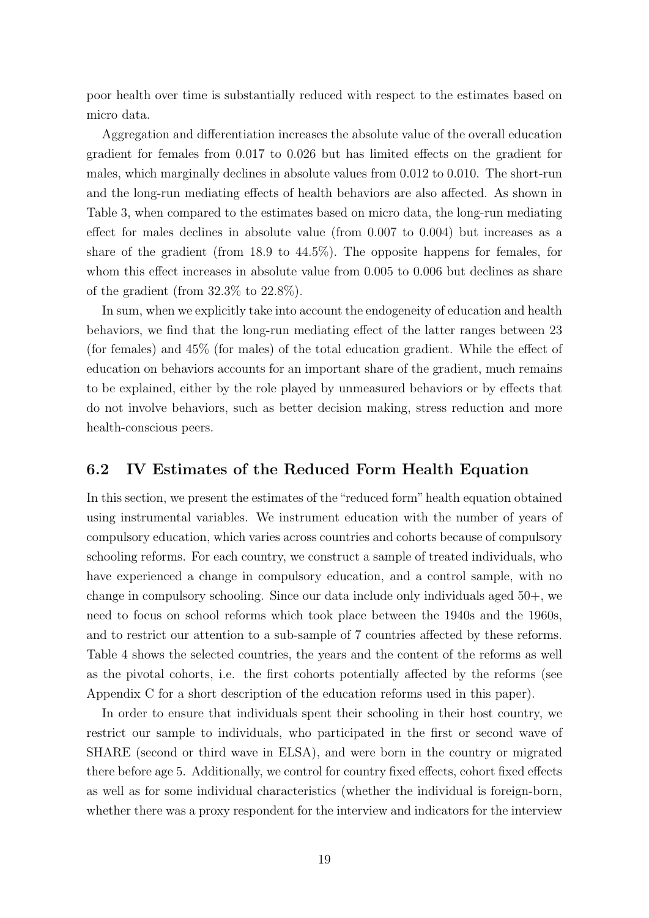poor health over time is substantially reduced with respect to the estimates based on micro data.

Aggregation and differentiation increases the absolute value of the overall education gradient for females from 0.017 to 0.026 but has limited effects on the gradient for males, which marginally declines in absolute values from 0.012 to 0.010. The short-run and the long-run mediating effects of health behaviors are also affected. As shown in Table 3, when compared to the estimates based on micro data, the long-run mediating effect for males declines in absolute value (from 0.007 to 0.004) but increases as a share of the gradient (from 18.9 to 44.5%). The opposite happens for females, for whom this effect increases in absolute value from 0.005 to 0.006 but declines as share of the gradient (from  $32.3\%$  to  $22.8\%$ ).

In sum, when we explicitly take into account the endogeneity of education and health behaviors, we find that the long-run mediating effect of the latter ranges between 23 (for females) and 45% (for males) of the total education gradient. While the effect of education on behaviors accounts for an important share of the gradient, much remains to be explained, either by the role played by unmeasured behaviors or by effects that do not involve behaviors, such as better decision making, stress reduction and more health-conscious peers.

#### 6.2 IV Estimates of the Reduced Form Health Equation

In this section, we present the estimates of the"reduced form" health equation obtained using instrumental variables. We instrument education with the number of years of compulsory education, which varies across countries and cohorts because of compulsory schooling reforms. For each country, we construct a sample of treated individuals, who have experienced a change in compulsory education, and a control sample, with no change in compulsory schooling. Since our data include only individuals aged 50+, we need to focus on school reforms which took place between the 1940s and the 1960s, and to restrict our attention to a sub-sample of 7 countries affected by these reforms. Table 4 shows the selected countries, the years and the content of the reforms as well as the pivotal cohorts, i.e. the first cohorts potentially affected by the reforms (see Appendix C for a short description of the education reforms used in this paper).

In order to ensure that individuals spent their schooling in their host country, we restrict our sample to individuals, who participated in the first or second wave of SHARE (second or third wave in ELSA), and were born in the country or migrated there before age 5. Additionally, we control for country fixed effects, cohort fixed effects as well as for some individual characteristics (whether the individual is foreign-born, whether there was a proxy respondent for the interview and indicators for the interview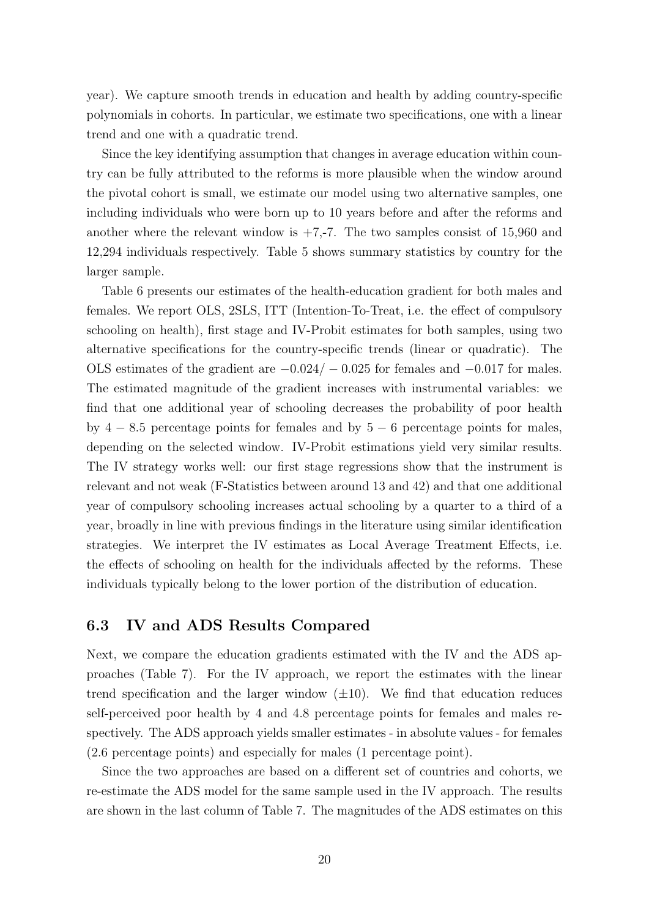year). We capture smooth trends in education and health by adding country-specific polynomials in cohorts. In particular, we estimate two specifications, one with a linear trend and one with a quadratic trend.

Since the key identifying assumption that changes in average education within country can be fully attributed to the reforms is more plausible when the window around the pivotal cohort is small, we estimate our model using two alternative samples, one including individuals who were born up to 10 years before and after the reforms and another where the relevant window is  $+7,-7$ . The two samples consist of 15,960 and 12,294 individuals respectively. Table 5 shows summary statistics by country for the larger sample.

Table 6 presents our estimates of the health-education gradient for both males and females. We report OLS, 2SLS, ITT (Intention-To-Treat, i.e. the effect of compulsory schooling on health), first stage and IV-Probit estimates for both samples, using two alternative specifications for the country-specific trends (linear or quadratic). The OLS estimates of the gradient are  $-0.024/-0.025$  for females and  $-0.017$  for males. The estimated magnitude of the gradient increases with instrumental variables: we find that one additional year of schooling decreases the probability of poor health by  $4 - 8.5$  percentage points for females and by  $5 - 6$  percentage points for males, depending on the selected window. IV-Probit estimations yield very similar results. The IV strategy works well: our first stage regressions show that the instrument is relevant and not weak (F-Statistics between around 13 and 42) and that one additional year of compulsory schooling increases actual schooling by a quarter to a third of a year, broadly in line with previous findings in the literature using similar identification strategies. We interpret the IV estimates as Local Average Treatment Effects, i.e. the effects of schooling on health for the individuals affected by the reforms. These individuals typically belong to the lower portion of the distribution of education.

#### 6.3 IV and ADS Results Compared

Next, we compare the education gradients estimated with the IV and the ADS approaches (Table 7). For the IV approach, we report the estimates with the linear trend specification and the larger window  $(\pm 10)$ . We find that education reduces self-perceived poor health by 4 and 4.8 percentage points for females and males respectively. The ADS approach yields smaller estimates - in absolute values - for females (2.6 percentage points) and especially for males (1 percentage point).

Since the two approaches are based on a different set of countries and cohorts, we re-estimate the ADS model for the same sample used in the IV approach. The results are shown in the last column of Table 7. The magnitudes of the ADS estimates on this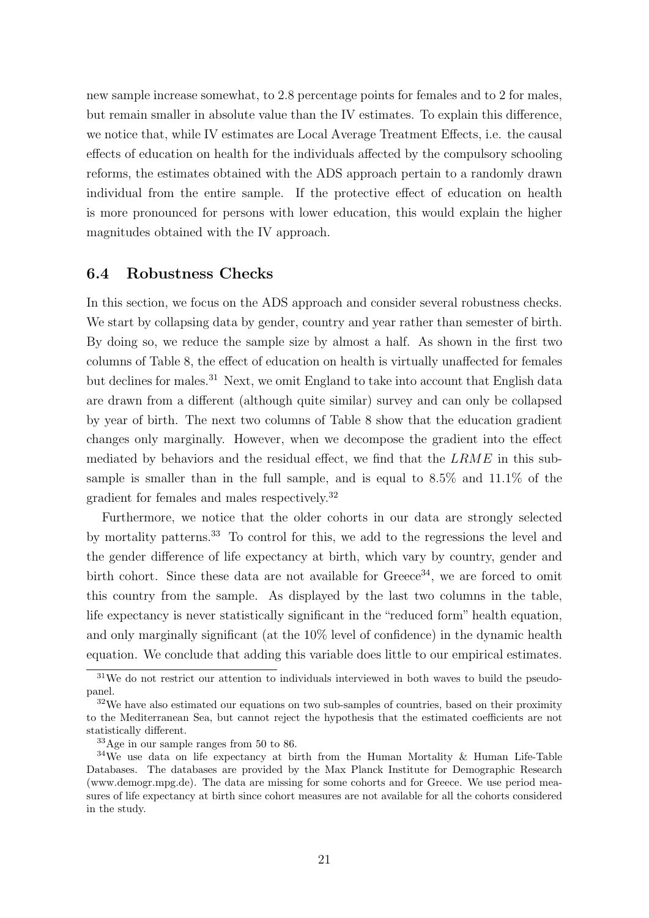new sample increase somewhat, to 2.8 percentage points for females and to 2 for males, but remain smaller in absolute value than the IV estimates. To explain this difference, we notice that, while IV estimates are Local Average Treatment Effects, i.e. the causal effects of education on health for the individuals affected by the compulsory schooling reforms, the estimates obtained with the ADS approach pertain to a randomly drawn individual from the entire sample. If the protective effect of education on health is more pronounced for persons with lower education, this would explain the higher magnitudes obtained with the IV approach.

#### 6.4 Robustness Checks

In this section, we focus on the ADS approach and consider several robustness checks. We start by collapsing data by gender, country and year rather than semester of birth. By doing so, we reduce the sample size by almost a half. As shown in the first two columns of Table 8, the effect of education on health is virtually unaffected for females but declines for males.<sup>31</sup> Next, we omit England to take into account that English data are drawn from a different (although quite similar) survey and can only be collapsed by year of birth. The next two columns of Table 8 show that the education gradient changes only marginally. However, when we decompose the gradient into the effect mediated by behaviors and the residual effect, we find that the LRME in this subsample is smaller than in the full sample, and is equal to 8.5% and 11.1% of the gradient for females and males respectively.<sup>32</sup>

Furthermore, we notice that the older cohorts in our data are strongly selected by mortality patterns.<sup>33</sup> To control for this, we add to the regressions the level and the gender difference of life expectancy at birth, which vary by country, gender and birth cohort. Since these data are not available for  $G$ reece<sup>34</sup>, we are forced to omit this country from the sample. As displayed by the last two columns in the table, life expectancy is never statistically significant in the "reduced form" health equation, and only marginally significant (at the 10% level of confidence) in the dynamic health equation. We conclude that adding this variable does little to our empirical estimates.

<sup>&</sup>lt;sup>31</sup>We do not restrict our attention to individuals interviewed in both waves to build the pseudopanel.

 $32\text{We have also estimated our equations on two sub-samples of countries, based on their proximity.}$ to the Mediterranean Sea, but cannot reject the hypothesis that the estimated coefficients are not statistically different.

<sup>33</sup>Age in our sample ranges from 50 to 86.

<sup>34</sup>We use data on life expectancy at birth from the Human Mortality & Human Life-Table Databases. The databases are provided by the Max Planck Institute for Demographic Research (www.demogr.mpg.de). The data are missing for some cohorts and for Greece. We use period measures of life expectancy at birth since cohort measures are not available for all the cohorts considered in the study.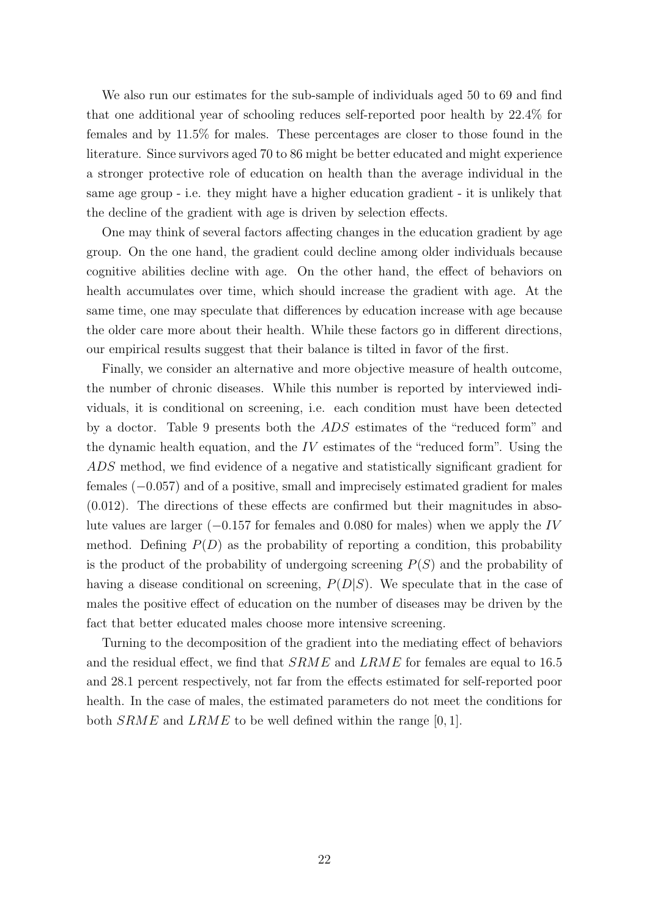We also run our estimates for the sub-sample of individuals aged 50 to 69 and find that one additional year of schooling reduces self-reported poor health by 22.4% for females and by 11.5% for males. These percentages are closer to those found in the literature. Since survivors aged 70 to 86 might be better educated and might experience a stronger protective role of education on health than the average individual in the same age group - i.e. they might have a higher education gradient - it is unlikely that the decline of the gradient with age is driven by selection effects.

One may think of several factors affecting changes in the education gradient by age group. On the one hand, the gradient could decline among older individuals because cognitive abilities decline with age. On the other hand, the effect of behaviors on health accumulates over time, which should increase the gradient with age. At the same time, one may speculate that differences by education increase with age because the older care more about their health. While these factors go in different directions, our empirical results suggest that their balance is tilted in favor of the first.

Finally, we consider an alternative and more objective measure of health outcome, the number of chronic diseases. While this number is reported by interviewed individuals, it is conditional on screening, i.e. each condition must have been detected by a doctor. Table 9 presents both the ADS estimates of the "reduced form" and the dynamic health equation, and the  $IV$  estimates of the "reduced form". Using the ADS method, we find evidence of a negative and statistically significant gradient for females (−0.057) and of a positive, small and imprecisely estimated gradient for males (0.012). The directions of these effects are confirmed but their magnitudes in absolute values are larger  $(-0.157$  for females and 0.080 for males) when we apply the IV method. Defining  $P(D)$  as the probability of reporting a condition, this probability is the product of the probability of undergoing screening  $P(S)$  and the probability of having a disease conditional on screening,  $P(D|S)$ . We speculate that in the case of males the positive effect of education on the number of diseases may be driven by the fact that better educated males choose more intensive screening.

Turning to the decomposition of the gradient into the mediating effect of behaviors and the residual effect, we find that *SRME* and *LRME* for females are equal to 16.5 and 28.1 percent respectively, not far from the effects estimated for self-reported poor health. In the case of males, the estimated parameters do not meet the conditions for both *SRME* and *LRME* to be well defined within the range  $[0, 1]$ .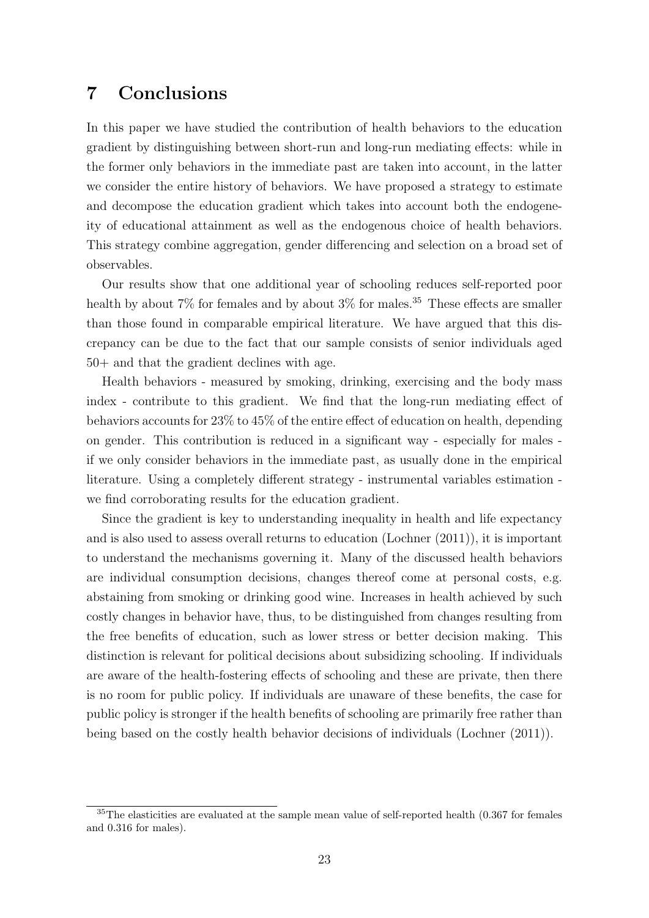## 7 Conclusions

In this paper we have studied the contribution of health behaviors to the education gradient by distinguishing between short-run and long-run mediating effects: while in the former only behaviors in the immediate past are taken into account, in the latter we consider the entire history of behaviors. We have proposed a strategy to estimate and decompose the education gradient which takes into account both the endogeneity of educational attainment as well as the endogenous choice of health behaviors. This strategy combine aggregation, gender differencing and selection on a broad set of observables.

Our results show that one additional year of schooling reduces self-reported poor health by about  $7\%$  for females and by about  $3\%$  for males.<sup>35</sup> These effects are smaller than those found in comparable empirical literature. We have argued that this discrepancy can be due to the fact that our sample consists of senior individuals aged 50+ and that the gradient declines with age.

Health behaviors - measured by smoking, drinking, exercising and the body mass index - contribute to this gradient. We find that the long-run mediating effect of behaviors accounts for 23% to 45% of the entire effect of education on health, depending on gender. This contribution is reduced in a significant way - especially for males if we only consider behaviors in the immediate past, as usually done in the empirical literature. Using a completely different strategy - instrumental variables estimation we find corroborating results for the education gradient.

Since the gradient is key to understanding inequality in health and life expectancy and is also used to assess overall returns to education (Lochner (2011)), it is important to understand the mechanisms governing it. Many of the discussed health behaviors are individual consumption decisions, changes thereof come at personal costs, e.g. abstaining from smoking or drinking good wine. Increases in health achieved by such costly changes in behavior have, thus, to be distinguished from changes resulting from the free benefits of education, such as lower stress or better decision making. This distinction is relevant for political decisions about subsidizing schooling. If individuals are aware of the health-fostering effects of schooling and these are private, then there is no room for public policy. If individuals are unaware of these benefits, the case for public policy is stronger if the health benefits of schooling are primarily free rather than being based on the costly health behavior decisions of individuals (Lochner (2011)).

 $35$ The elasticities are evaluated at the sample mean value of self-reported health  $(0.367$  for females and 0.316 for males).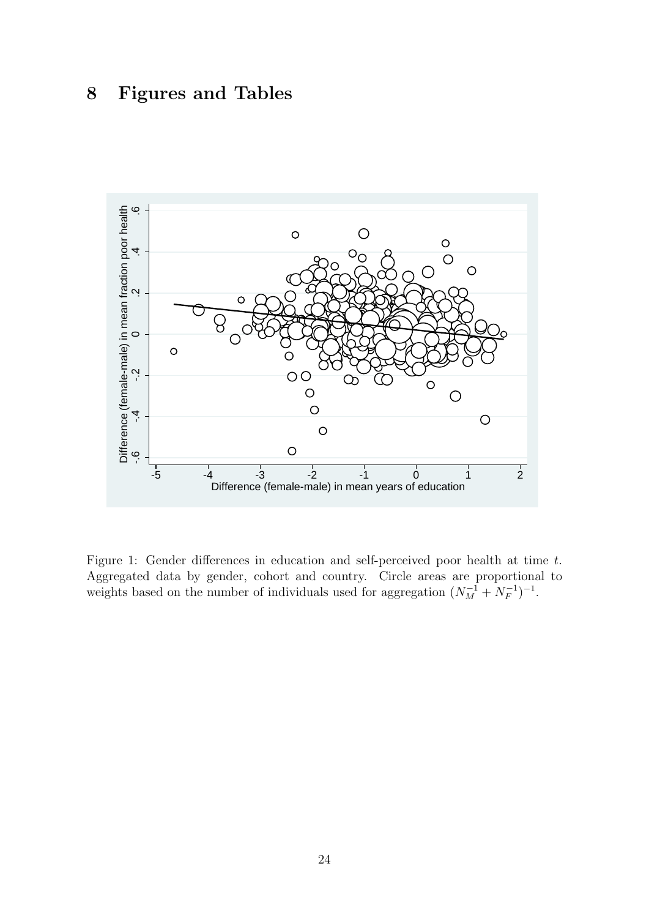# 8 Figures and Tables



Figure 1: Gender differences in education and self-perceived poor health at time t. Aggregated data by gender, cohort and country. Circle areas are proportional to weights based on the number of individuals used for aggregation  $(N_M^{-1} + N_F^{-1})$  $\binom{-1}{F}^{-1}.$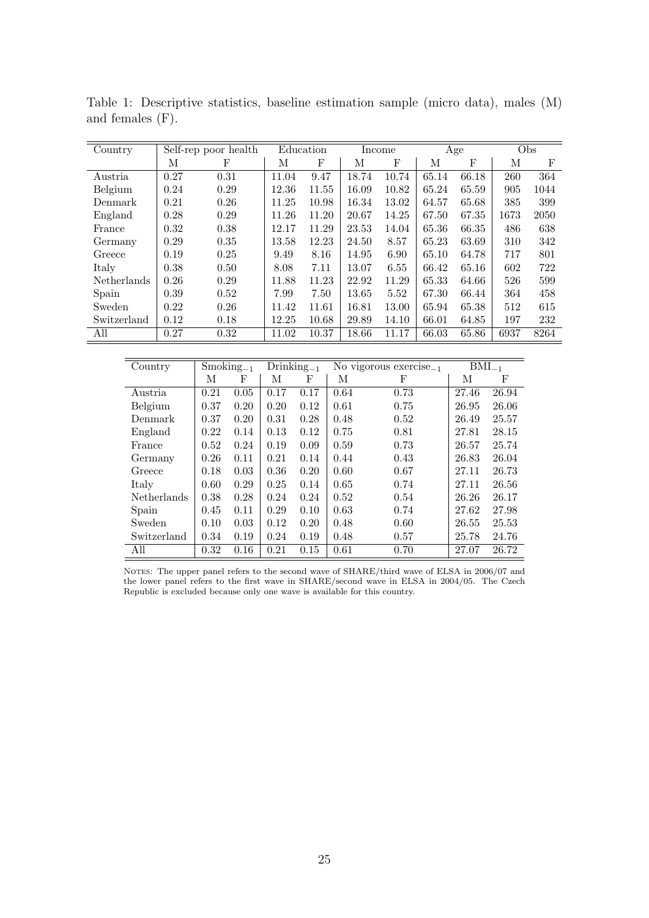| Country     |      | Self-rep poor health |       | Education |       | Income |       | Age   |      | Obs  |
|-------------|------|----------------------|-------|-----------|-------|--------|-------|-------|------|------|
|             | М    | F                    | М     | F         | М     | F      | М     | F     | М    | F    |
| Austria     | 0.27 | 0.31                 | 11.04 | 9.47      | 18.74 | 10.74  | 65.14 | 66.18 | 260  | 364  |
| Belgium     | 0.24 | 0.29                 | 12.36 | 11.55     | 16.09 | 10.82  | 65.24 | 65.59 | 905  | 1044 |
| Denmark     | 0.21 | 0.26                 | 11.25 | 10.98     | 16.34 | 13.02  | 64.57 | 65.68 | 385  | 399  |
| England     | 0.28 | 0.29                 | 11.26 | 11.20     | 20.67 | 14.25  | 67.50 | 67.35 | 1673 | 2050 |
| France      | 0.32 | 0.38                 | 12.17 | 11.29     | 23.53 | 14.04  | 65.36 | 66.35 | 486  | 638  |
| Germany     | 0.29 | 0.35                 | 13.58 | 12.23     | 24.50 | 8.57   | 65.23 | 63.69 | 310  | 342  |
| Greece      | 0.19 | 0.25                 | 9.49  | 8.16      | 14.95 | 6.90   | 65.10 | 64.78 | 717  | 801  |
| Italy       | 0.38 | 0.50                 | 8.08  | 7.11      | 13.07 | 6.55   | 66.42 | 65.16 | 602  | 722  |
| Netherlands | 0.26 | 0.29                 | 11.88 | 11.23     | 22.92 | 11.29  | 65.33 | 64.66 | 526  | 599  |
| Spain       | 0.39 | 0.52                 | 7.99  | 7.50      | 13.65 | 5.52   | 67.30 | 66.44 | 364  | 458  |
| Sweden      | 0.22 | 0.26                 | 11.42 | 11.61     | 16.81 | 13.00  | 65.94 | 65.38 | 512  | 615  |
| Switzerland | 0.12 | 0.18                 | 12.25 | 10.68     | 29.89 | 14.10  | 66.01 | 64.85 | 197  | 232  |
| All         | 0.27 | 0.32                 | 11.02 | 10.37     | 18.66 | 11.17  | 66.03 | 65.86 | 6937 | 8264 |

Table 1: Descriptive statistics, baseline estimation sample (micro data), males (M) and females (F).

| Country     |      | $\overline{\text{Smoking}}_{-1}$ |      | $\overline{\text{Drinking}}_{-1}$ |      | No vigorous $exercise_{-1}$ |       | $BMI_{-1}$ |
|-------------|------|----------------------------------|------|-----------------------------------|------|-----------------------------|-------|------------|
|             | М    | F                                | М    | F                                 | М    | F                           | М     | F          |
| Austria     | 0.21 | 0.05                             | 0.17 | 0.17                              | 0.64 | 0.73                        | 27.46 | 26.94      |
| Belgium     | 0.37 | 0.20                             | 0.20 | 0.12                              | 0.61 | 0.75                        | 26.95 | 26.06      |
| Denmark     | 0.37 | 0.20                             | 0.31 | 0.28                              | 0.48 | 0.52                        | 26.49 | 25.57      |
| England     | 0.22 | 0.14                             | 0.13 | 0.12                              | 0.75 | 0.81                        | 27.81 | 28.15      |
| France      | 0.52 | 0.24                             | 0.19 | 0.09                              | 0.59 | 0.73                        | 26.57 | 25.74      |
| Germany     | 0.26 | 0.11                             | 0.21 | 0.14                              | 0.44 | 0.43                        | 26.83 | 26.04      |
| Greece      | 0.18 | 0.03                             | 0.36 | 0.20                              | 0.60 | 0.67                        | 27.11 | 26.73      |
| Italy       | 0.60 | 0.29                             | 0.25 | 0.14                              | 0.65 | 0.74                        | 27.11 | 26.56      |
| Netherlands | 0.38 | 0.28                             | 0.24 | 0.24                              | 0.52 | 0.54                        | 26.26 | 26.17      |
| Spain       | 0.45 | 0.11                             | 0.29 | 0.10                              | 0.63 | 0.74                        | 27.62 | 27.98      |
| Sweden      | 0.10 | 0.03                             | 0.12 | 0.20                              | 0.48 | 0.60                        | 26.55 | 25.53      |
| Switzerland | 0.34 | 0.19                             | 0.24 | 0.19                              | 0.48 | 0.57                        | 25.78 | 24.76      |
| All         | 0.32 | 0.16                             | 0.21 | 0.15                              | 0.61 | 0.70                        | 27.07 | 26.72      |

NOTES: The upper panel refers to the second wave of SHARE/third wave of ELSA in 2006/07 and the lower panel refers to the first wave in SHARE/second wave in ELSA in 2004/05. The Czech Republic is excluded because only one wave is available for this country.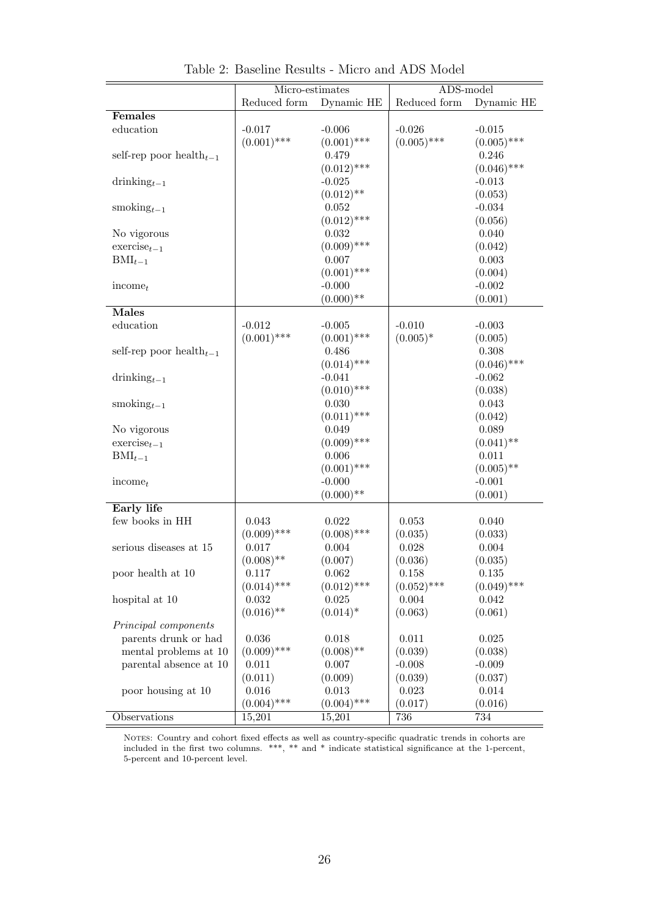|                               | Micro-estimates |               |                       | ADS-model     |  |  |
|-------------------------------|-----------------|---------------|-----------------------|---------------|--|--|
|                               | Reduced form    | Dynamic HE    | Reduced form          | Dynamic HE    |  |  |
| Females                       |                 |               |                       |               |  |  |
| education                     | $-0.017$        | $-0.006$      | $-0.026$              | $-0.015$      |  |  |
|                               | $(0.001)$ ***   | $(0.001)$ *** | $(0.005)$ ***         | $(0.005)$ *** |  |  |
| self-rep poor health $_{t-1}$ |                 | 0.479         |                       | 0.246         |  |  |
|                               |                 | $(0.012)$ *** |                       | $(0.046)$ *** |  |  |
|                               |                 |               |                       |               |  |  |
| drinking $t-1$                |                 | $-0.025$      |                       | $-0.013$      |  |  |
|                               |                 | $(0.012)$ **  |                       | (0.053)       |  |  |
| smoking $_{t-1}$              |                 | 0.052         |                       | $-0.034$      |  |  |
|                               |                 | $(0.012)$ *** |                       | (0.056)       |  |  |
| No vigorous                   |                 | 0.032         |                       | 0.040         |  |  |
| $exercise_{t-1}$              |                 | $(0.009)$ *** |                       | (0.042)       |  |  |
| $\text{BMI}_{t-1}$            |                 | 0.007         |                       | 0.003         |  |  |
|                               |                 | $(0.001)$ *** |                       | (0.004)       |  |  |
| income $_t$                   |                 | $-0.000$      |                       | $-0.002$      |  |  |
|                               |                 | $(0.000)$ **  |                       | (0.001)       |  |  |
| <b>Males</b>                  |                 |               |                       |               |  |  |
| education                     | $-0.012$        | $-0.005$      | $-0.010$              | $-0.003$      |  |  |
|                               | $(0.001)$ ***   | $(0.001)$ *** | $(0.005)^*$           | (0.005)       |  |  |
| self-rep poor health $_{t-1}$ |                 | $0.486\,$     |                       | 0.308         |  |  |
|                               |                 | $(0.014)$ *** |                       | $(0.046)$ *** |  |  |
|                               |                 | $-0.041$      |                       | $-0.062$      |  |  |
| drinking $t-1$                |                 |               |                       |               |  |  |
|                               |                 | $(0.010)$ *** |                       | (0.038)       |  |  |
| smoking $_{t-1}$              |                 | 0.030         |                       | 0.043         |  |  |
|                               |                 | $(0.011)$ *** |                       | (0.042)       |  |  |
| No vigorous                   |                 | 0.049         |                       | 0.089         |  |  |
| $\mathrm{exercise}_{t-1}$     |                 | $(0.009)$ *** |                       | $(0.041)$ **  |  |  |
| $\text{BMI}_{t-1}$            |                 | 0.006         |                       | 0.011         |  |  |
|                               |                 | $(0.001)$ *** |                       | $(0.005)$ **  |  |  |
| income $_t$                   |                 | $-0.000$      |                       | $-0.001$      |  |  |
|                               |                 | $(0.000)$ **  |                       | (0.001)       |  |  |
| Early life                    |                 |               |                       |               |  |  |
| few books in HH               | 0.043           | 0.022         | 0.053                 | 0.040         |  |  |
|                               | $(0.009)$ ***   | $(0.008)$ *** | (0.035)               | (0.033)       |  |  |
| serious diseases at 15        | 0.017           | 0.004         | 0.028                 | 0.004         |  |  |
|                               | $(0.008)$ **    | (0.007)       | (0.036)               | (0.035)       |  |  |
| poor health at 10             | 0.117           | 0.062         | 0.158                 | 0.135         |  |  |
|                               | $(0.014)$ ***   | $(0.012)$ *** | $(0.052)$ ***         | $(0.049)$ *** |  |  |
| hospital at 10                | 0.032           | 0.025         | 0.004                 | 0.042         |  |  |
|                               | $(0.016)$ **    | $(0.014)^*$   | (0.063)               | (0.061)       |  |  |
| Principal components          |                 |               |                       |               |  |  |
|                               | 0.036           |               |                       |               |  |  |
| parents drunk or had          |                 | 0.018         | 0.011                 | 0.025         |  |  |
| mental problems at 10         | $(0.009)$ ***   | $(0.008)$ **  | (0.039)               | (0.038)       |  |  |
| parental absence at 10        | 0.011           | 0.007         | $-0.008$              | $-0.009$      |  |  |
|                               | (0.011)         | (0.009)       | (0.039)               | (0.037)       |  |  |
| poor housing at 10            | 0.016           | 0.013         | $\,0.023\,$           | 0.014         |  |  |
|                               | $(0.004)$ ***   | $(0.004)$ *** | $\left( 0.017\right)$ | (0.016)       |  |  |
| Observations                  | 15,201          | 15,201        | 736                   | 734           |  |  |

Table 2: Baseline Results - Micro and ADS Model

NOTES: Country and cohort fixed effects as well as country-specific quadratic trends in cohorts are included in the first two columns. \*\*\*, \*\* and \* indicate statistical significance at the 1-percent, 5-percent and 10-percent level.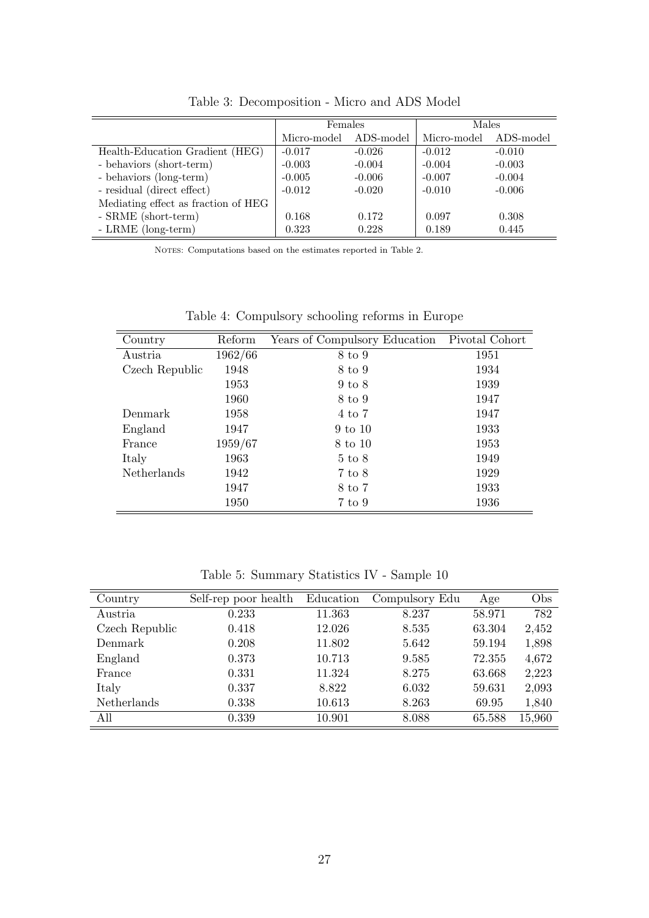|                                     | Females     |           | Males       |           |  |
|-------------------------------------|-------------|-----------|-------------|-----------|--|
|                                     | Micro-model | ADS-model | Micro-model | ADS-model |  |
| Health-Education Gradient (HEG)     | $-0.017$    | $-0.026$  | $-0.012$    | $-0.010$  |  |
| - behaviors (short-term)            | $-0.003$    | $-0.004$  | $-0.004$    | $-0.003$  |  |
| - behaviors (long-term)             | $-0.005$    | $-0.006$  | $-0.007$    | $-0.004$  |  |
| - residual (direct effect)          | $-0.012$    | $-0.020$  | $-0.010$    | $-0.006$  |  |
| Mediating effect as fraction of HEG |             |           |             |           |  |
| - SRME (short-term)                 | 0.168       | 0.172     | 0.097       | 0.308     |  |
| - LRME (long-term)                  | 0.323       | 0.228     | 0.189       | 0.445     |  |

Table 3: Decomposition - Micro and ADS Model

NOTES: Computations based on the estimates reported in Table 2.

| Country            | Reform  | Years of Compulsory Education | Pivotal Cohort |
|--------------------|---------|-------------------------------|----------------|
| Austria            | 1962/66 | 8 to 9                        | 1951           |
| Czech Republic     | 1948    | 8 to 9                        | 1934           |
|                    | 1953    | $9 \text{ to } 8$             | 1939           |
|                    | 1960    | 8 to 9                        | 1947           |
| Denmark            | 1958    | $4 \text{ to } 7$             | 1947           |
| England            | 1947    | $9 \text{ to } 10$            | 1933           |
| France             | 1959/67 | 8 to 10                       | 1953           |
| Italy              | 1963    | $5 \text{ to } 8$             | 1949           |
| <b>Netherlands</b> | 1942    | 7 to 8                        | 1929           |
|                    | 1947    | 8 to 7                        | 1933           |
|                    | 1950    | 7 to 9                        | 1936           |

Table 4: Compulsory schooling reforms in Europe

Table 5: Summary Statistics IV - Sample 10

| Country        | Self-rep poor health | Education | Compulsory Edu | Age    | Obs    |
|----------------|----------------------|-----------|----------------|--------|--------|
| Austria        | 0.233                | 11.363    | 8.237          | 58.971 | 782    |
| Czech Republic | 0.418                | 12.026    | 8.535          | 63.304 | 2,452  |
| Denmark        | 0.208                | 11.802    | 5.642          | 59.194 | 1,898  |
| England        | 0.373                | 10.713    | 9.585          | 72.355 | 4,672  |
| France         | 0.331                | 11.324    | 8.275          | 63.668 | 2,223  |
| Italy          | 0.337                | 8.822     | 6.032          | 59.631 | 2,093  |
| Netherlands    | 0.338                | 10.613    | 8.263          | 69.95  | 1,840  |
| All            | 0.339                | 10.901    | 8.088          | 65.588 | 15,960 |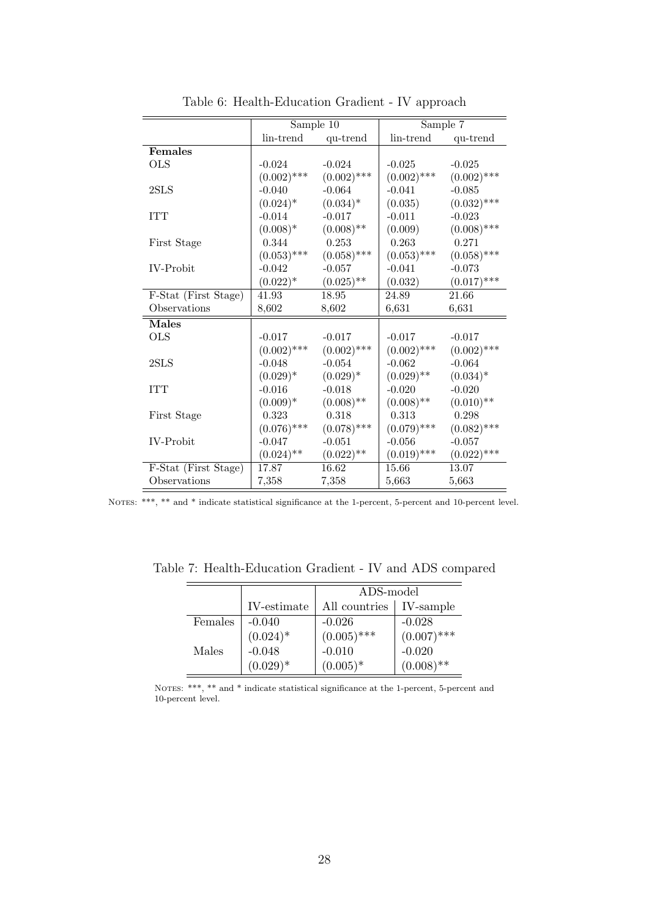|                      |               | Sample 10     |               | Sample $7$    |
|----------------------|---------------|---------------|---------------|---------------|
|                      | lin-trend     | qu-trend      | lin-trend     | qu-trend      |
| Females              |               |               |               |               |
| <b>OLS</b>           | $-0.024$      | $-0.024$      | $-0.025$      | $-0.025$      |
|                      | $(0.002)$ *** | $(0.002)$ *** | $(0.002)$ *** | $(0.002)$ *** |
| 2SLS                 | $-0.040$      | $-0.064$      | $-0.041$      | $-0.085$      |
|                      | $(0.024)^*$   | $(0.034)*$    | (0.035)       | $(0.032)$ *** |
| <b>ITT</b>           | $-0.014$      | $-0.017$      | $-0.011$      | $-0.023$      |
|                      | $(0.008)*$    | $(0.008)$ **  | (0.009)       | $(0.008)$ *** |
| First Stage          | 0.344         | 0.253         | 0.263         | 0.271         |
|                      | $(0.053)$ *** | $(0.058)$ *** | $(0.053)$ *** | $(0.058)$ *** |
| <b>IV-Probit</b>     | $-0.042$      | $-0.057$      | $-0.041$      | $-0.073$      |
|                      | $(0.022)^*$   | $(0.025)$ **  | (0.032)       | $(0.017)$ *** |
| F-Stat (First Stage) | 41.93         | 18.95         | 24.89         | 21.66         |
| Observations         | 8,602         | 8,602         | 6,631         | 6,631         |
| <b>Males</b>         |               |               |               |               |
| <b>OLS</b>           | $-0.017$      | $-0.017$      | $-0.017$      | $-0.017$      |
|                      | $(0.002)$ *** | $(0.002)$ *** | $(0.002)$ *** | $(0.002)$ *** |
| 2SLS                 | $-0.048$      | $-0.054$      | $-0.062$      | $-0.064$      |
|                      | $(0.029)^*$   | $(0.029)^*$   | $(0.029)$ **  | $(0.034)^*$   |
| <b>ITT</b>           | $-0.016$      | $-0.018$      | $-0.020$      | $-0.020$      |
|                      | $(0.009)*$    | $(0.008)$ **  | $(0.008)$ **  | $(0.010)$ **  |
| First Stage          | 0.323         | 0.318         | 0.313         | 0.298         |
|                      | $(0.076)$ *** | $(0.078)$ *** | $(0.079)$ *** | $(0.082)$ *** |
| <b>IV-Probit</b>     | $-0.047$      | $-0.051$      | $-0.056$      | $-0.057$      |
|                      | $(0.024)$ **  | $(0.022)$ **  | $(0.019)$ *** | $(0.022)$ *** |
| F-Stat (First Stage) | 17.87         | 16.62         | 15.66         | 13.07         |
| Observations         | 7,358         | 7,358         | 5,663         | 5,663         |

Table 6: Health-Education Gradient - IV approach

NOTES: \*\*\*, \*\* and \* indicate statistical significance at the 1-percent, 5-percent and 10-percent level.

Table 7: Health-Education Gradient - IV and ADS compared

|         |             | ADS-model                 |               |  |  |  |
|---------|-------------|---------------------------|---------------|--|--|--|
|         | IV-estimate | All countries   IV-sample |               |  |  |  |
| Females | $-0.040$    | $-0.026$                  | $-0.028$      |  |  |  |
|         | $(0.024)^*$ | $(0.005)$ ***             | $(0.007)$ *** |  |  |  |
| Males   | $-0.048$    | $-0.010$                  | $-0.020$      |  |  |  |
|         | $(0.029)^*$ | $(0.005)^*$               | $(0.008)$ **  |  |  |  |

NOTES: \*\*\*, \*\* and \* indicate statistical significance at the 1-percent, 5-percent and 10-percent level.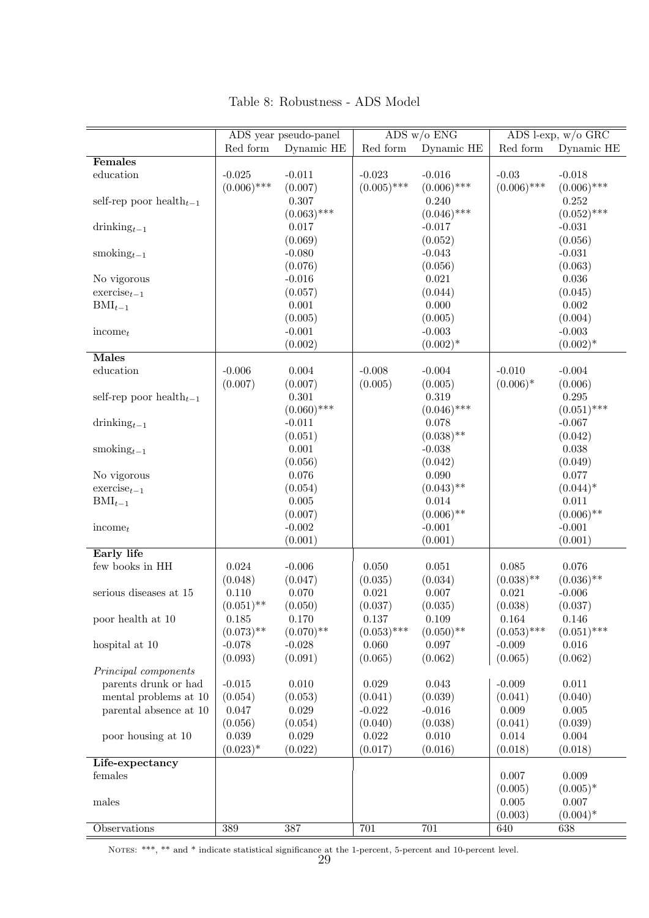|                               |               | ADS year pseudo-panel |               | ADS $w/o$ ENG |               | ADS l-exp, $w/o$ GRC |
|-------------------------------|---------------|-----------------------|---------------|---------------|---------------|----------------------|
|                               |               |                       |               |               |               |                      |
|                               | Red form      | Dynamic HE            | Red form      | Dynamic HE    | Red form      | Dynamic HE           |
| <b>Females</b>                |               |                       |               |               |               |                      |
| education                     | $-0.025$      | $-0.011$              | $-0.023$      | $-0.016$      | $-0.03$       | $-0.018$             |
|                               | $(0.006)$ *** | (0.007)               | $(0.005)$ *** | $(0.006)$ *** | $(0.006)$ *** | $(0.006)$ ***        |
| self-rep poor health $_{t-1}$ |               | 0.307                 |               | 0.240         |               | 0.252                |
|                               |               | $(0.063)$ ***         |               | $(0.046)$ *** |               | $(0.052)$ ***        |
| drinking $t-1$                |               | 0.017                 |               | $-0.017$      |               | $-0.031$             |
|                               |               | (0.069)               |               | (0.052)       |               | (0.056)              |
| smoking $t-1$                 |               | $-0.080$              |               | $-0.043$      |               | $-0.031$             |
|                               |               | (0.076)               |               | (0.056)       |               | (0.063)              |
| No vigorous                   |               | $-0.016$              |               | $\,0.021\,$   |               | $\,0.036\,$          |
| $exercise_{t-1}$              |               | (0.057)               |               | (0.044)       |               | (0.045)              |
| $\text{BMI}_{t-1}$            |               | 0.001                 |               | $0.000\,$     |               | $\,0.002\,$          |
|                               |               |                       |               |               |               |                      |
|                               |               | (0.005)               |               | (0.005)       |               | (0.004)              |
| income $_t$                   |               | $-0.001$              |               | $-0.003$      |               | $-0.003$             |
|                               |               | (0.002)               |               | $(0.002)^*$   |               | $(0.002)^*$          |
| <b>Males</b>                  |               |                       |               |               |               |                      |
| education                     | $-0.006$      | 0.004                 | $-0.008$      | $-0.004$      | $-0.010$      | $-0.004$             |
|                               | (0.007)       | (0.007)               | (0.005)       | (0.005)       | $(0.006)*$    | (0.006)              |
| self-rep poor health $_{t-1}$ |               | 0.301                 |               | $0.319\,$     |               | $0.295\,$            |
|                               |               | $(0.060)$ ***         |               | $(0.046)$ *** |               | $(0.051)$ ***        |
| drinking $t-1$                |               | $-0.011$              |               | 0.078         |               | $-0.067$             |
|                               |               | (0.051)               |               | $(0.038)$ **  |               | (0.042)              |
|                               |               | $0.001\,$             |               | $-0.038$      |               | 0.038                |
| smoking $t-1$                 |               |                       |               |               |               |                      |
|                               |               | (0.056)               |               | (0.042)       |               | (0.049)              |
| No vigorous                   |               | 0.076                 |               | $0.090\,$     |               | 0.077                |
| $exercise_{t-1}$              |               | (0.054)               |               | $(0.043)$ **  |               | $(0.044)^*$          |
| $\text{BMI}_{t-1}$            |               | $0.005\,$             |               | $0.014\,$     |               | 0.011                |
|                               |               | (0.007)               |               | $(0.006)$ **  |               | $(0.006)$ **         |
| income $_t$                   |               | $-0.002$              |               | $-0.001$      |               | $-0.001$             |
|                               |               | (0.001)               |               | (0.001)       |               | (0.001)              |
| Early life                    |               |                       |               |               |               |                      |
| few books in HH               | $\,0.024\,$   | $-0.006$              | 0.050         | 0.051         | 0.085         | 0.076                |
|                               | (0.048)       | (0.047)               | (0.035)       | (0.034)       | $(0.038)$ **  | $(0.036)$ **         |
| serious diseases at 15        | 0.110         | 0.070                 | 0.021         | 0.007         | 0.021         | $-0.006$             |
|                               |               |                       |               |               |               |                      |
|                               | $(0.051)$ **  | (0.050)               | (0.037)       | (0.035)       | (0.038)       | (0.037)              |
| poor health at 10             | 0.185         | 0.170                 | 0.137         | 0.109         | 0.164         | 0.146                |
|                               | $(0.073)$ **  | $(0.070)$ **          | $(0.053)$ *** | $(0.050)$ **  | $(0.053)$ *** | $(0.051)$ ***        |
| hospital at 10                | $-0.078$      | $-0.028$              | 0.060         | 0.097         | $-0.009$      | 0.016                |
|                               | (0.093)       | (0.091)               | (0.065)       | (0.062)       | (0.065)       | (0.062)              |
| Principal components          |               |                       |               |               |               |                      |
| parents drunk or had          | $-0.015$      | 0.010                 | 0.029         | 0.043         | $-0.009$      | 0.011                |
| mental problems at 10         | (0.054)       | (0.053)               | (0.041)       | (0.039)       | (0.041)       | (0.040)              |
| parental absence at 10        | 0.047         | $\,0.029\,$           | $-0.022$      | $-0.016$      | $0.009\,$     | $0.005\,$            |
|                               | (0.056)       | (0.054)               | (0.040)       | (0.038)       | (0.041)       | (0.039)              |
| poor housing at 10            | $\,0.039\,$   | $\,0.029\,$           | $\,0.022\,$   | 0.010         | 0.014         | $0.004\,$            |
|                               |               |                       |               |               |               |                      |
|                               | $(0.023)^*$   | (0.022)               | (0.017)       | (0.016)       | (0.018)       | (0.018)              |
| Life-expectancy               |               |                       |               |               |               |                      |
| females                       |               |                       |               |               | 0.007         | 0.009                |
|                               |               |                       |               |               | (0.005)       | $(0.005)^*$          |
| males                         |               |                       |               |               | 0.005         | 0.007                |
|                               |               |                       |               |               | (0.003)       | $(0.004)^*$          |
| Observations                  | 389           | 387                   | 701           | 701           | 640           | 638                  |

Table 8: Robustness - ADS Model

NOTES: \*\*\*, \*\* and \* indicate statistical significance at the 1-percent, 5-percent and 10-percent level.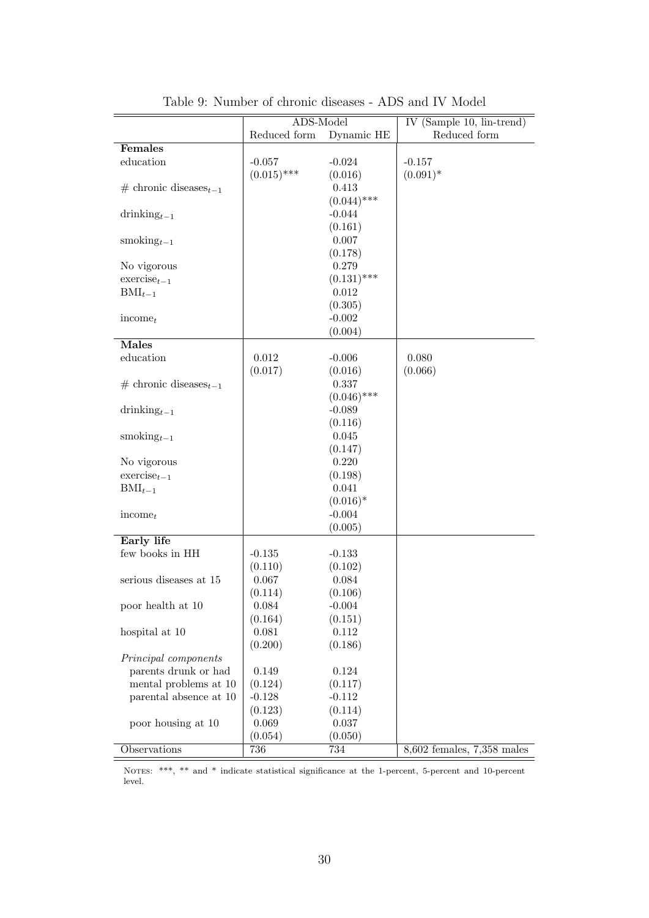|                                     | ADS-Model     |               | IV (Sample 10, lin-trend)  |
|-------------------------------------|---------------|---------------|----------------------------|
|                                     | Reduced form  | Dynamic HE    | Reduced form               |
| <b>Females</b>                      |               |               |                            |
| education                           | $-0.057$      | $-0.024$      | $-0.157$                   |
|                                     | $(0.015)$ *** | (0.016)       | $(0.091)^*$                |
| $#$ chronic diseases <sub>t-1</sub> |               | 0.413         |                            |
|                                     |               | $(0.044)$ *** |                            |
| drinking $t-1$                      |               | $-0.044$      |                            |
|                                     |               | (0.161)       |                            |
| smoking $t-1$                       |               | 0.007         |                            |
|                                     |               | (0.178)       |                            |
|                                     |               | 0.279         |                            |
| No vigorous                         |               |               |                            |
| $exercise_{t-1}$                    |               | $(0.131)$ *** |                            |
| $\text{BMI}_{t-1}$                  |               | 0.012         |                            |
|                                     |               | (0.305)       |                            |
| income $_t$                         |               | $-0.002$      |                            |
|                                     |               | (0.004)       |                            |
| <b>Males</b>                        |               |               |                            |
| education                           | 0.012         | $-0.006$      | 0.080                      |
|                                     | (0.017)       | (0.016)       | (0.066)                    |
| $#$ chronic diseases <sub>t-1</sub> |               | 0.337         |                            |
|                                     |               | $(0.046)$ *** |                            |
| drinking $t-1$                      |               | $-0.089$      |                            |
|                                     |               | (0.116)       |                            |
| smoking $t-1$                       |               | 0.045         |                            |
|                                     |               | (0.147)       |                            |
| No vigorous                         |               | 0.220         |                            |
| $exercise_{t-1}$                    |               | (0.198)       |                            |
| $\text{BMI}_{t-1}$                  |               | 0.041         |                            |
|                                     |               | $(0.016)^*$   |                            |
|                                     |               |               |                            |
| income $_t$                         |               | $-0.004$      |                            |
|                                     |               | (0.005)       |                            |
| Early life                          |               |               |                            |
| few books in HH                     | $-0.135$      | $-0.133$      |                            |
|                                     | (0.110)       | (0.102)       |                            |
| serious diseases at $15\,$          | 0.067         | 0.084         |                            |
|                                     | (0.114)       | (0.106)       |                            |
| poor health at 10                   | 0.084         | $-0.004$      |                            |
|                                     | (0.164)       | (0.151)       |                            |
| hospital at 10                      | $\,0.081\,$   | 0.112         |                            |
|                                     | (0.200)       | (0.186)       |                            |
| Principal components                |               |               |                            |
| parents drunk or had                | 0.149         | 0.124         |                            |
| mental problems at $10\,$           | (0.124)       | (0.117)       |                            |
| parental absence at 10              | $-0.128$      | $-0.112$      |                            |
|                                     | (0.123)       | (0.114)       |                            |
| poor housing at 10                  | 0.069         | $0.037\,$     |                            |
|                                     | (0.054)       | (0.050)       |                            |
| Observations                        | 736           | 734           | 8,602 females, 7,358 males |
|                                     |               |               |                            |

Table 9: Number of chronic diseases - ADS and IV Model

NOTES: \*\*\*, \*\* and \* indicate statistical significance at the 1-percent, 5-percent and 10-percent level.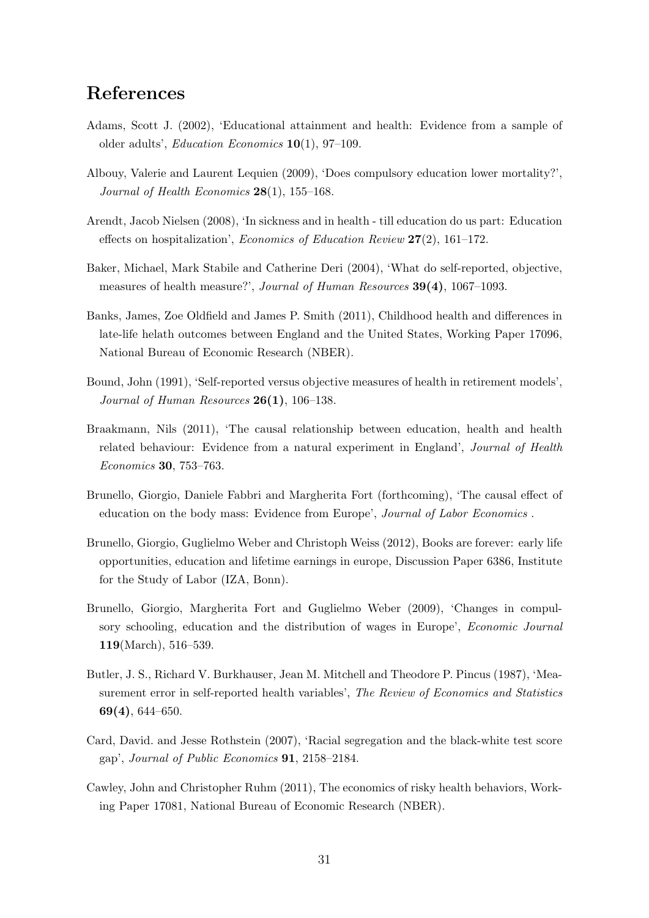# References

- Adams, Scott J. (2002), 'Educational attainment and health: Evidence from a sample of older adults', Education Economics 10(1), 97–109.
- Albouy, Valerie and Laurent Lequien (2009), 'Does compulsory education lower mortality?', Journal of Health Economics  $28(1)$ , 155-168.
- Arendt, Jacob Nielsen (2008), 'In sickness and in health till education do us part: Education effects on hospitalization', Economics of Education Review 27(2), 161–172.
- Baker, Michael, Mark Stabile and Catherine Deri (2004), 'What do self-reported, objective, measures of health measure?', Journal of Human Resources **39(4)**, 1067–1093.
- Banks, James, Zoe Oldfield and James P. Smith (2011), Childhood health and differences in late-life helath outcomes between England and the United States, Working Paper 17096, National Bureau of Economic Research (NBER).
- Bound, John (1991), 'Self-reported versus objective measures of health in retirement models', Journal of Human Resources  $26(1)$ , 106-138.
- Braakmann, Nils (2011), 'The causal relationship between education, health and health related behaviour: Evidence from a natural experiment in England', Journal of Health Economics 30, 753–763.
- Brunello, Giorgio, Daniele Fabbri and Margherita Fort (forthcoming), 'The causal effect of education on the body mass: Evidence from Europe', Journal of Labor Economics.
- Brunello, Giorgio, Guglielmo Weber and Christoph Weiss (2012), Books are forever: early life opportunities, education and lifetime earnings in europe, Discussion Paper 6386, Institute for the Study of Labor (IZA, Bonn).
- Brunello, Giorgio, Margherita Fort and Guglielmo Weber (2009), 'Changes in compulsory schooling, education and the distribution of wages in Europe', Economic Journal 119(March), 516–539.
- Butler, J. S., Richard V. Burkhauser, Jean M. Mitchell and Theodore P. Pincus (1987), 'Measurement error in self-reported health variables', The Review of Economics and Statistics 69(4), 644–650.
- Card, David. and Jesse Rothstein (2007), 'Racial segregation and the black-white test score gap', Journal of Public Economics 91, 2158–2184.
- Cawley, John and Christopher Ruhm (2011), The economics of risky health behaviors, Working Paper 17081, National Bureau of Economic Research (NBER).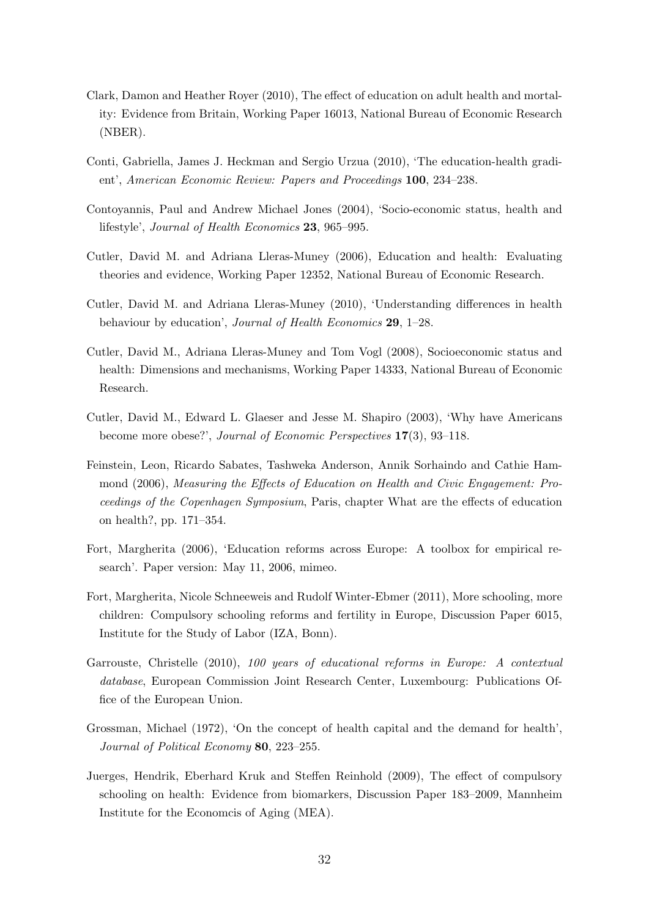- Clark, Damon and Heather Royer (2010), The effect of education on adult health and mortality: Evidence from Britain, Working Paper 16013, National Bureau of Economic Research (NBER).
- Conti, Gabriella, James J. Heckman and Sergio Urzua (2010), 'The education-health gradient', American Economic Review: Papers and Proceedings 100, 234–238.
- Contoyannis, Paul and Andrew Michael Jones (2004), 'Socio-economic status, health and lifestyle', Journal of Health Economics 23, 965–995.
- Cutler, David M. and Adriana Lleras-Muney (2006), Education and health: Evaluating theories and evidence, Working Paper 12352, National Bureau of Economic Research.
- Cutler, David M. and Adriana Lleras-Muney (2010), 'Understanding differences in health behaviour by education', Journal of Health Economics 29, 1–28.
- Cutler, David M., Adriana Lleras-Muney and Tom Vogl (2008), Socioeconomic status and health: Dimensions and mechanisms, Working Paper 14333, National Bureau of Economic Research.
- Cutler, David M., Edward L. Glaeser and Jesse M. Shapiro (2003), 'Why have Americans become more obese?', Journal of Economic Perspectives 17(3), 93–118.
- Feinstein, Leon, Ricardo Sabates, Tashweka Anderson, Annik Sorhaindo and Cathie Hammond (2006), Measuring the Effects of Education on Health and Civic Engagement: Proceedings of the Copenhagen Symposium, Paris, chapter What are the effects of education on health?, pp. 171–354.
- Fort, Margherita (2006), 'Education reforms across Europe: A toolbox for empirical research'. Paper version: May 11, 2006, mimeo.
- Fort, Margherita, Nicole Schneeweis and Rudolf Winter-Ebmer (2011), More schooling, more children: Compulsory schooling reforms and fertility in Europe, Discussion Paper 6015, Institute for the Study of Labor (IZA, Bonn).
- Garrouste, Christelle (2010), 100 years of educational reforms in Europe: A contextual database, European Commission Joint Research Center, Luxembourg: Publications Office of the European Union.
- Grossman, Michael (1972), 'On the concept of health capital and the demand for health', Journal of Political Economy 80, 223–255.
- Juerges, Hendrik, Eberhard Kruk and Steffen Reinhold (2009), The effect of compulsory schooling on health: Evidence from biomarkers, Discussion Paper 183–2009, Mannheim Institute for the Economcis of Aging (MEA).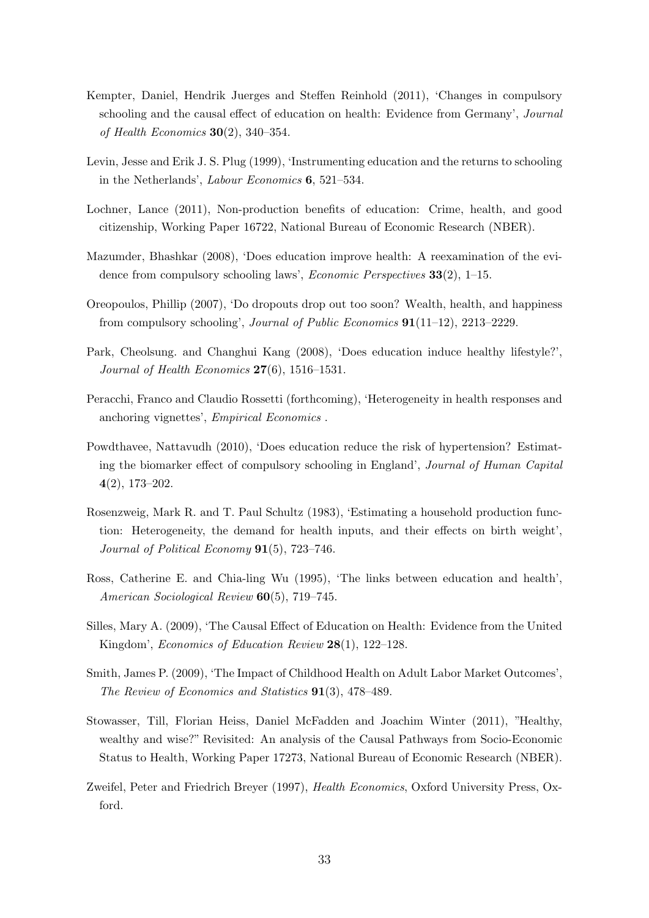- Kempter, Daniel, Hendrik Juerges and Steffen Reinhold (2011), 'Changes in compulsory schooling and the causal effect of education on health: Evidence from Germany', Journal of Health Economics  $30(2)$ , 340-354.
- Levin, Jesse and Erik J. S. Plug (1999), 'Instrumenting education and the returns to schooling in the Netherlands', Labour Economics 6, 521–534.
- Lochner, Lance (2011), Non-production benefits of education: Crime, health, and good citizenship, Working Paper 16722, National Bureau of Economic Research (NBER).
- Mazumder, Bhashkar (2008), 'Does education improve health: A reexamination of the evidence from compulsory schooling laws', *Economic Perspectives* 33(2), 1–15.
- Oreopoulos, Phillip (2007), 'Do dropouts drop out too soon? Wealth, health, and happiness from compulsory schooling', Journal of Public Economics 91(11–12), 2213–2229.
- Park, Cheolsung. and Changhui Kang (2008), 'Does education induce healthy lifestyle?', Journal of Health Economics  $27(6)$ , 1516–1531.
- Peracchi, Franco and Claudio Rossetti (forthcoming), 'Heterogeneity in health responses and anchoring vignettes', *Empirical Economics*.
- Powdthavee, Nattavudh (2010), 'Does education reduce the risk of hypertension? Estimating the biomarker effect of compulsory schooling in England', Journal of Human Capital 4(2), 173–202.
- Rosenzweig, Mark R. and T. Paul Schultz (1983), 'Estimating a household production function: Heterogeneity, the demand for health inputs, and their effects on birth weight', Journal of Political Economy  $91(5)$ , 723–746.
- Ross, Catherine E. and Chia-ling Wu (1995), 'The links between education and health', American Sociological Review 60(5), 719–745.
- Silles, Mary A. (2009), 'The Causal Effect of Education on Health: Evidence from the United Kingdom', *Economics of Education Review* 28(1), 122–128.
- Smith, James P. (2009), 'The Impact of Childhood Health on Adult Labor Market Outcomes', The Review of Economics and Statistics 91(3), 478–489.
- Stowasser, Till, Florian Heiss, Daniel McFadden and Joachim Winter (2011), "Healthy, wealthy and wise?" Revisited: An analysis of the Causal Pathways from Socio-Economic Status to Health, Working Paper 17273, National Bureau of Economic Research (NBER).
- Zweifel, Peter and Friedrich Breyer (1997), Health Economics, Oxford University Press, Oxford.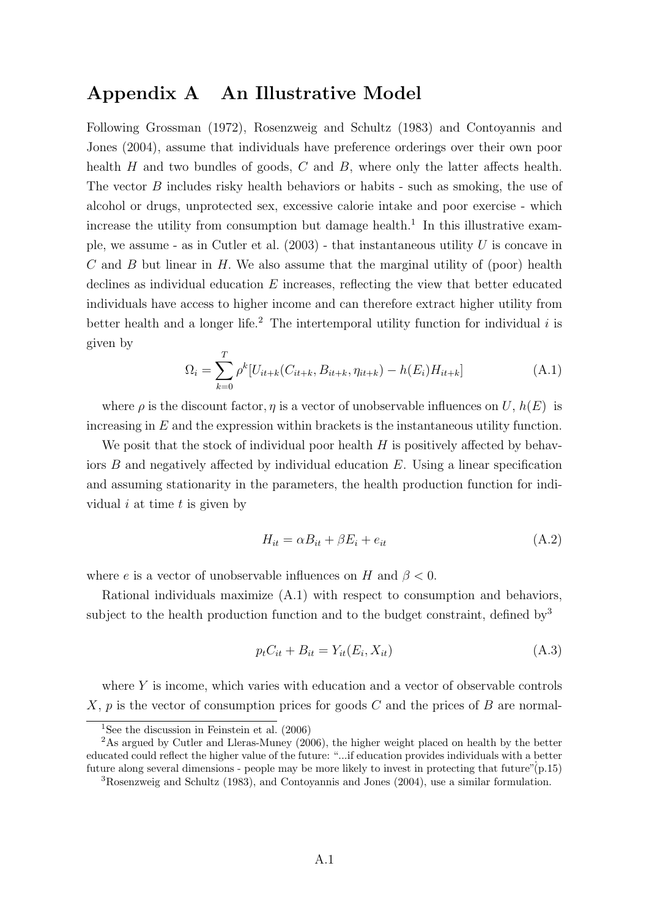## Appendix A An Illustrative Model

Following Grossman (1972), Rosenzweig and Schultz (1983) and Contoyannis and Jones (2004), assume that individuals have preference orderings over their own poor health  $H$  and two bundles of goods,  $C$  and  $B$ , where only the latter affects health. The vector B includes risky health behaviors or habits - such as smoking, the use of alcohol or drugs, unprotected sex, excessive calorie intake and poor exercise - which increase the utility from consumption but damage health.<sup>1</sup> In this illustrative example, we assume - as in Cutler et al.  $(2003)$  - that instantaneous utility U is concave in C and B but linear in  $H$ . We also assume that the marginal utility of (poor) health declines as individual education  $E$  increases, reflecting the view that better educated individuals have access to higher income and can therefore extract higher utility from better health and a longer life.<sup>2</sup> The intertemporal utility function for individual  $i$  is given by

$$
\Omega_i = \sum_{k=0}^{T} \rho^k [U_{it+k}(C_{it+k}, B_{it+k}, \eta_{it+k}) - h(E_i)H_{it+k}] \tag{A.1}
$$

where  $\rho$  is the discount factor,  $\eta$  is a vector of unobservable influences on U,  $h(E)$  is increasing in  $E$  and the expression within brackets is the instantaneous utility function.

We posit that the stock of individual poor health  $H$  is positively affected by behaviors  $B$  and negatively affected by individual education  $E$ . Using a linear specification and assuming stationarity in the parameters, the health production function for individual  $i$  at time  $t$  is given by

$$
H_{it} = \alpha B_{it} + \beta E_i + e_{it}
$$
\n(A.2)

where e is a vector of unobservable influences on H and  $\beta < 0$ .

Rational individuals maximize (A.1) with respect to consumption and behaviors, subject to the health production function and to the budget constraint, defined by<sup>3</sup>

$$
p_t C_{it} + B_{it} = Y_{it}(E_i, X_{it})
$$
\n
$$
(A.3)
$$

where Y is income, which varies with education and a vector of observable controls  $X, p$  is the vector of consumption prices for goods C and the prices of B are normal-

<sup>&</sup>lt;sup>1</sup>See the discussion in Feinstein et al.  $(2006)$ 

<sup>&</sup>lt;sup>2</sup>As argued by Cutler and Lleras-Muney (2006), the higher weight placed on health by the better educated could reflect the higher value of the future: "...if education provides individuals with a better future along several dimensions - people may be more likely to invest in protecting that future" $(p.15)$ 

<sup>3</sup>Rosenzweig and Schultz (1983), and Contoyannis and Jones (2004), use a similar formulation.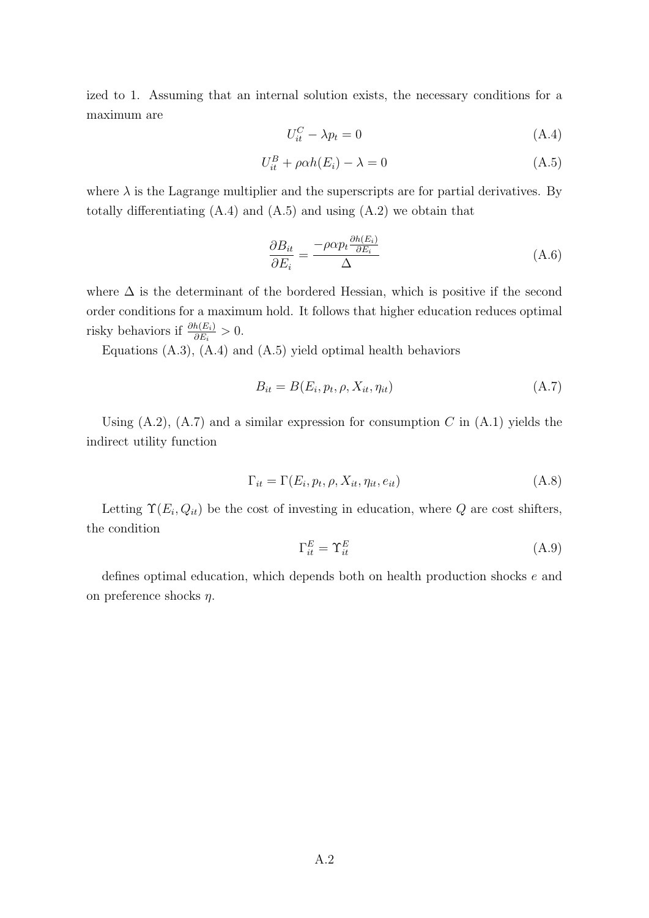ized to 1. Assuming that an internal solution exists, the necessary conditions for a maximum are

$$
U_{it}^C - \lambda p_t = 0 \tag{A.4}
$$

$$
U_{it}^{B} + \rho \alpha h(E_i) - \lambda = 0 \tag{A.5}
$$

where  $\lambda$  is the Lagrange multiplier and the superscripts are for partial derivatives. By totally differentiating  $(A.4)$  and  $(A.5)$  and using  $(A.2)$  we obtain that

$$
\frac{\partial B_{it}}{\partial E_i} = \frac{-\rho \alpha p_t \frac{\partial h(E_i)}{\partial E_i}}{\Delta} \tag{A.6}
$$

where  $\Delta$  is the determinant of the bordered Hessian, which is positive if the second order conditions for a maximum hold. It follows that higher education reduces optimal risky behaviors if  $\frac{\partial h(E_i)}{\partial E_i} > 0$ .

Equations (A.3), (A.4) and (A.5) yield optimal health behaviors

$$
B_{it} = B(E_i, p_t, \rho, X_{it}, \eta_{it})
$$
\n(A.7)

Using  $(A.2)$ ,  $(A.7)$  and a similar expression for consumption C in  $(A.1)$  yields the indirect utility function

$$
\Gamma_{it} = \Gamma(E_i, p_t, \rho, X_{it}, \eta_{it}, e_{it})
$$
\n(A.8)

Letting  $\Upsilon(E_i, Q_{it})$  be the cost of investing in education, where Q are cost shifters, the condition

$$
\Gamma_{it}^{E} = \Upsilon_{it}^{E} \tag{A.9}
$$

defines optimal education, which depends both on health production shocks e and on preference shocks  $\eta$ .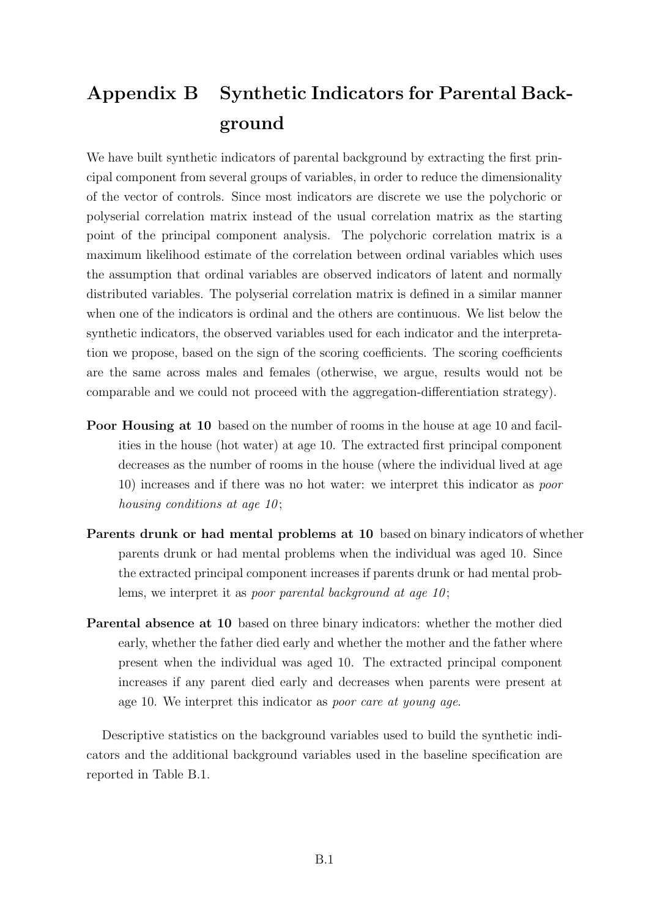# Appendix B Synthetic Indicators for Parental Background

We have built synthetic indicators of parental background by extracting the first principal component from several groups of variables, in order to reduce the dimensionality of the vector of controls. Since most indicators are discrete we use the polychoric or polyserial correlation matrix instead of the usual correlation matrix as the starting point of the principal component analysis. The polychoric correlation matrix is a maximum likelihood estimate of the correlation between ordinal variables which uses the assumption that ordinal variables are observed indicators of latent and normally distributed variables. The polyserial correlation matrix is defined in a similar manner when one of the indicators is ordinal and the others are continuous. We list below the synthetic indicators, the observed variables used for each indicator and the interpretation we propose, based on the sign of the scoring coefficients. The scoring coefficients are the same across males and females (otherwise, we argue, results would not be comparable and we could not proceed with the aggregation-differentiation strategy).

- Poor Housing at 10 based on the number of rooms in the house at age 10 and facilities in the house (hot water) at age 10. The extracted first principal component decreases as the number of rooms in the house (where the individual lived at age 10) increases and if there was no hot water: we interpret this indicator as poor housing conditions at age 10;
- Parents drunk or had mental problems at 10 based on binary indicators of whether parents drunk or had mental problems when the individual was aged 10. Since the extracted principal component increases if parents drunk or had mental problems, we interpret it as *poor parental background at age 10*;
- Parental absence at 10 based on three binary indicators: whether the mother died early, whether the father died early and whether the mother and the father where present when the individual was aged 10. The extracted principal component increases if any parent died early and decreases when parents were present at age 10. We interpret this indicator as *poor care at young age*.

Descriptive statistics on the background variables used to build the synthetic indicators and the additional background variables used in the baseline specification are reported in Table B.1.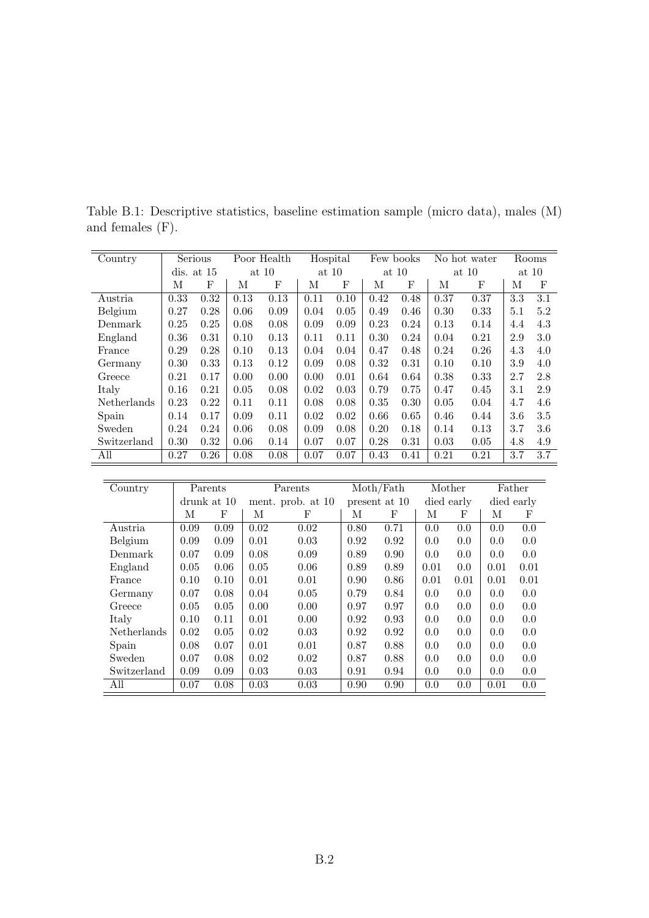| Country            |      | Serious    |      | Poor Health |      | Hospital | Few books |         | No hot water |         | Rooms   |         |
|--------------------|------|------------|------|-------------|------|----------|-----------|---------|--------------|---------|---------|---------|
|                    |      | dis. at 15 |      | at $10$     |      | at $10$  |           | at $10$ |              | at $10$ |         | at $10$ |
|                    | М    | $_{\rm F}$ | М    | F           | М    | F        | М         | F       | М            | F       | М       | F       |
| Austria            | 0.33 | 0.32       | 0.13 | 0.13        | 0.11 | 0.10     | 0.42      | 0.48    | 0.37         | 0.37    | 3.3     | 3.1     |
| Belgium            | 0.27 | 0.28       | 0.06 | 0.09        | 0.04 | 0.05     | 0.49      | 0.46    | 0.30         | 0.33    | 5.1     | 5.2     |
| Denmark            | 0.25 | 0.25       | 0.08 | 0.08        | 0.09 | 0.09     | 0.23      | 0.24    | 0.13         | 0.14    | 4.4     | 4.3     |
| England            | 0.36 | 0.31       | 0.10 | 0.13        | 0.11 | 0.11     | 0.30      | 0.24    | 0.04         | 0.21    | 2.9     | 3.0     |
| France             | 0.29 | 0.28       | 0.10 | 0.13        | 0.04 | 0.04     | 0.47      | 0.48    | 0.24         | 0.26    | 4.3     | 4.0     |
| Germany            | 0.30 | 0.33       | 0.13 | 0.12        | 0.09 | 0.08     | 0.32      | 0.31    | 0.10         | 0.10    | 3.9     | 4.0     |
| Greece             | 0.21 | 0.17       | 0.00 | 0.00        | 0.00 | 0.01     | 0.64      | 0.64    | 0.38         | 0.33    | 2.7     | 2.8     |
| Italy              | 0.16 | 0.21       | 0.05 | 0.08        | 0.02 | 0.03     | 0.79      | 0.75    | 0.47         | 0.45    | 3.1     | 2.9     |
| <b>Netherlands</b> | 0.23 | 0.22       | 0.11 | 0.11        | 0.08 | 0.08     | 0.35      | 0.30    | 0.05         | 0.04    | 4.7     | 4.6     |
| Spain              | 0.14 | 0.17       | 0.09 | 0.11        | 0.02 | 0.02     | 0.66      | 0.65    | 0.46         | 0.44    | $3.6\,$ | 3.5     |
| Sweden             | 0.24 | 0.24       | 0.06 | 0.08        | 0.09 | 0.08     | 0.20      | 0.18    | 0.14         | 0.13    | 3.7     | 3.6     |
| Switzerland        | 0.30 | 0.32       | 0.06 | 0.14        | 0.07 | 0.07     | 0.28      | 0.31    | 0.03         | 0.05    | 4.8     | 4.9     |
| All                | 0.27 | 0.26       | 0.08 | 0.08        | 0.07 | 0.07     | 0.43      | 0.41    | 0.21         | 0.21    | 3.7     | 3.7     |

Table B.1: Descriptive statistics, baseline estimation sample (micro data), males (M) and females (F).

| Country     |      | Parents     |      | Parents           |      | Moth/Fath     |            | Mother |            | Father |  |
|-------------|------|-------------|------|-------------------|------|---------------|------------|--------|------------|--------|--|
|             |      | drunk at 10 |      | ment. prob. at 10 |      | present at 10 | died early |        | died early |        |  |
|             | М    | F           | М    | F                 | М    | F             | М          | F      | М          | F      |  |
| Austria     | 0.09 | 0.09        | 0.02 | 0.02              | 0.80 | 0.71          | 0.0        | 0.0    | 0.0        | 0.0    |  |
| Belgium     | 0.09 | 0.09        | 0.01 | 0.03              | 0.92 | 0.92          | 0.0        | 0.0    | 0.0        | 0.0    |  |
| Denmark     | 0.07 | 0.09        | 0.08 | 0.09              | 0.89 | 0.90          | 0.0        | 0.0    | 0.0        | 0.0    |  |
| England     | 0.05 | 0.06        | 0.05 | 0.06              | 0.89 | 0.89          | 0.01       | 0.0    | 0.01       | 0.01   |  |
| France      | 0.10 | 0.10        | 0.01 | 0.01              | 0.90 | 0.86          | 0.01       | 0.01   | 0.01       | 0.01   |  |
| Germany     | 0.07 | 0.08        | 0.04 | 0.05              | 0.79 | 0.84          | 0.0        | 0.0    | 0.0        | 0.0    |  |
| Greece      | 0.05 | 0.05        | 0.00 | 0.00              | 0.97 | 0.97          | 0.0        | 0.0    | 0.0        | 0.0    |  |
| Italy       | 0.10 | 0.11        | 0.01 | 0.00              | 0.92 | 0.93          | 0.0        | 0.0    | 0.0        | 0.0    |  |
| Netherlands | 0.02 | 0.05        | 0.02 | 0.03              | 0.92 | 0.92          | 0.0        | 0.0    | 0.0        | 0.0    |  |
| Spain       | 0.08 | 0.07        | 0.01 | 0.01              | 0.87 | 0.88          | 0.0        | 0.0    | 0.0        | 0.0    |  |
| Sweden      | 0.07 | 0.08        | 0.02 | 0.02              | 0.87 | 0.88          | 0.0        | 0.0    | 0.0        | 0.0    |  |
| Switzerland | 0.09 | 0.09        | 0.03 | 0.03              | 0.91 | 0.94          | 0.0        | 0.0    | 0.0        | 0.0    |  |
| All         | 0.07 | 0.08        | 0.03 | 0.03              | 0.90 | 0.90          | 0.0        | 0.0    | 0.01       | 0.0    |  |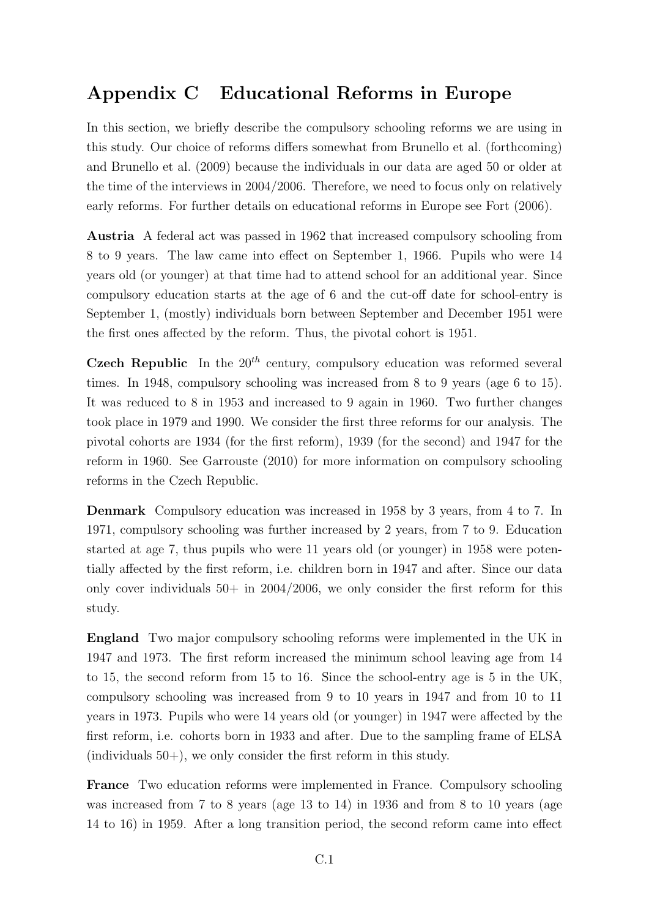# Appendix C Educational Reforms in Europe

In this section, we briefly describe the compulsory schooling reforms we are using in this study. Our choice of reforms differs somewhat from Brunello et al. (forthcoming) and Brunello et al. (2009) because the individuals in our data are aged 50 or older at the time of the interviews in 2004/2006. Therefore, we need to focus only on relatively early reforms. For further details on educational reforms in Europe see Fort (2006).

Austria A federal act was passed in 1962 that increased compulsory schooling from 8 to 9 years. The law came into effect on September 1, 1966. Pupils who were 14 years old (or younger) at that time had to attend school for an additional year. Since compulsory education starts at the age of 6 and the cut-off date for school-entry is September 1, (mostly) individuals born between September and December 1951 were the first ones affected by the reform. Thus, the pivotal cohort is 1951.

Czech Republic In the  $20<sup>th</sup>$  century, compulsory education was reformed several times. In 1948, compulsory schooling was increased from 8 to 9 years (age 6 to 15). It was reduced to 8 in 1953 and increased to 9 again in 1960. Two further changes took place in 1979 and 1990. We consider the first three reforms for our analysis. The pivotal cohorts are 1934 (for the first reform), 1939 (for the second) and 1947 for the reform in 1960. See Garrouste (2010) for more information on compulsory schooling reforms in the Czech Republic.

Denmark Compulsory education was increased in 1958 by 3 years, from 4 to 7. In 1971, compulsory schooling was further increased by 2 years, from 7 to 9. Education started at age 7, thus pupils who were 11 years old (or younger) in 1958 were potentially affected by the first reform, i.e. children born in 1947 and after. Since our data only cover individuals  $50+$  in  $2004/2006$ , we only consider the first reform for this study.

England Two major compulsory schooling reforms were implemented in the UK in 1947 and 1973. The first reform increased the minimum school leaving age from 14 to 15, the second reform from 15 to 16. Since the school-entry age is 5 in the UK, compulsory schooling was increased from 9 to 10 years in 1947 and from 10 to 11 years in 1973. Pupils who were 14 years old (or younger) in 1947 were affected by the first reform, i.e. cohorts born in 1933 and after. Due to the sampling frame of ELSA (individuals 50+), we only consider the first reform in this study.

France Two education reforms were implemented in France. Compulsory schooling was increased from 7 to 8 years (age 13 to 14) in 1936 and from 8 to 10 years (age 14 to 16) in 1959. After a long transition period, the second reform came into effect